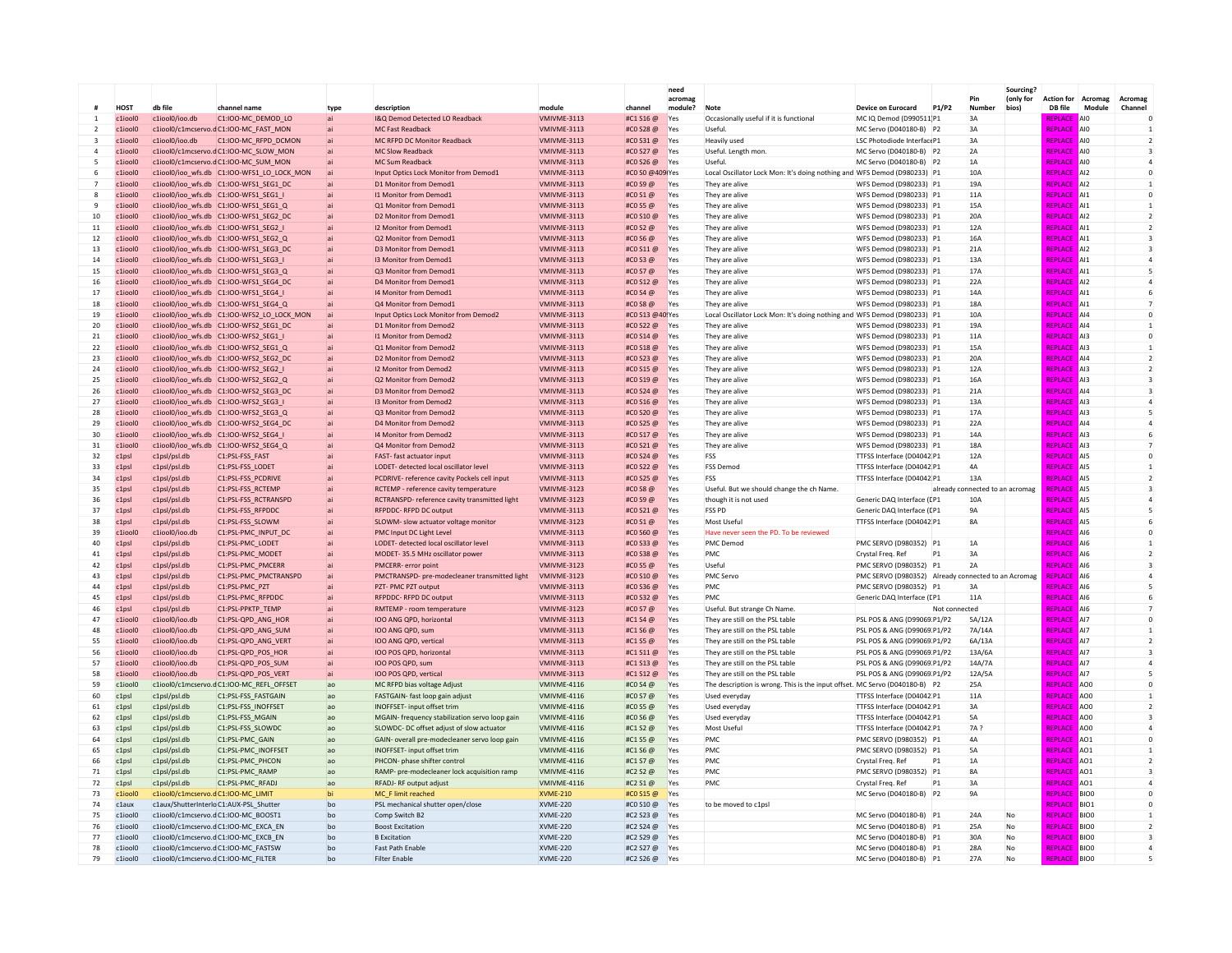|                    |                             |                                                    |                                                                                     |                      |                                                                         |                                   |                             | need<br>acromar |                                                                                              |                                                          |                | Pin                             | Sourcing <sup>®</sup><br>(only for | <b>Action for Acromag</b>        |                                                | Acromag                              |
|--------------------|-----------------------------|----------------------------------------------------|-------------------------------------------------------------------------------------|----------------------|-------------------------------------------------------------------------|-----------------------------------|-----------------------------|-----------------|----------------------------------------------------------------------------------------------|----------------------------------------------------------|----------------|---------------------------------|------------------------------------|----------------------------------|------------------------------------------------|--------------------------------------|
|                    | HOST                        | db file                                            | channel name                                                                        | type                 | description                                                             | module                            | channel                     | module?         | <b>Note</b>                                                                                  | <b>Device on Eurocard</b>                                | P1/P2          | Number                          | bios)                              | DB file                          | Module<br><b>AIO</b>                           | Channel                              |
|                    | c1iool0<br>c1iool0          | $c1$ iool $0$ /ioo.dh                              | C1:IOO-MC DEMOD LO<br>c1iool0/c1mcservo.dC1:IOO-MC FAST MON                         | ai                   | I&O Demod Detected LO Readback<br><b>MC Fast Readback</b>               | VMIVMF-3113<br><b>VMIVMF-3113</b> | #C1 S16 @<br>#CO S28 @      | Yes<br>Yes      | Occasionally useful if it is functional<br>Useful                                            | MC IO Demod (D990511 P1<br>MC Servo (D040180-B) P2       |                | 3A<br>3A                        |                                    | <b>REPLACE</b><br><b>REPLACE</b> | <b>AIO</b>                                     | $\Omega$                             |
|                    | c1iool0                     | c1iool0/ioo.db                                     | C1:IOO-MC_RFPD_DCMON                                                                |                      | MC RFPD DC Monitor Readback                                             | VMIVME-3113                       | #CO S31@                    | Yes             | <b>Heavily used</b>                                                                          | LSC Photodiode InterfaceP1                               |                | 3A                              |                                    | <b>REPLACE</b>                   | $A$ <sub>10</sub>                              | $\overline{z}$                       |
|                    | c1iool0                     |                                                    | c1iool0/c1mcservo.dC1:IOO-MC SLOW MON                                               |                      | <b>MC Slow Readback</b>                                                 | VMIVME-3113                       | #CO S27 @                   | Yes             | Useful, Length mon                                                                           | MC Servo (D040180-B) P2                                  |                | 2A                              |                                    | <b>REPLAC</b>                    | AI <sub>0</sub>                                |                                      |
|                    | c1iool0                     |                                                    | c1iool0/c1mcservo.dC1:IOO-MC SUM MON                                                |                      | MC Sum Readback                                                         | <b>VMIVME-3113</b>                | #CO S26 @                   | Yes             | Useful                                                                                       | MC Servo (D040180-B) P2                                  |                | 1A                              |                                    | <b>REPLACE</b>                   | <b>AIO</b>                                     |                                      |
| -6                 | c1iool0                     |                                                    | c1iool0/ioo wfs.db C1:IOO-WFS1 LO LOCK MON                                          |                      | Input Optics Lock Monitor from Demod1                                   | <b>VMIVME-3113</b>                | #C0 S0 @409 Yes             |                 | Local Oscillator Lock Mon: It's doing nothing and WFS Demod (D980233) P1                     |                                                          |                | 10A                             |                                    | <b>REPLACE</b>                   | A12                                            | $\Omega$                             |
|                    | c1iool0                     |                                                    | c1iool0/ioo wfs.db C1:IOO-WFS1 SEG1 DC                                              |                      | D1 Monitor from Demod1                                                  | VMIVME-3113                       | #CO S9 @                    | Yes             | They are alive                                                                               | WFS Demod (D980233) P1                                   |                | 19A                             |                                    | <b>REPLACE</b>                   | A12                                            |                                      |
| $\mathbf{8}$       | c1iool0                     |                                                    | c1iool0/ioo_wfs.db C1:IOO-WFS1_SEG1_I                                               |                      | 11 Monitor from Demod1                                                  | VMIVME-3113                       | #CO S1@                     | Yes             | They are alive                                                                               | WFS Demod (D980233) P1                                   |                | 11A                             |                                    | <b>REPLACE</b>                   | <b>A11</b>                                     | $\Omega$                             |
| $\mathbf{q}$<br>10 | c1iool0<br>c1iool0          |                                                    | c1iool0/ioo_wfs.db C1:IOO-WFS1_SEG1_Q<br>c1iool0/ioo_wfs.db C1:IOO-WFS1_SEG2_DC     |                      | Q1 Monitor from Demod1<br>D2 Monitor from Demod1                        | VMIVME-3113<br>VMIVME-3113        | #CO S5 @<br>#C0 S10 @       | Yes<br>Yes      | They are alive<br>They are alive                                                             | WFS Demod (D980233) P1<br>WFS Demod (D980233) P1         |                | 15A<br>20 <sub>0</sub>          |                                    | <b>REPLACE</b><br><b>REPLACI</b> | <b>A11</b><br>A12                              | $\overline{2}$                       |
| 11                 | c1iool0                     |                                                    | c1iool0/ioo wfs.db C1:IOO-WFS1 SEG2 I                                               |                      | 12 Monitor from Demod1                                                  | <b>VMIVME-3113</b>                | #CO S2 @                    | Yes             | They are alive                                                                               | WFS Demod (D980233) P1                                   |                | 12A                             |                                    | <b>REPLACE</b>                   | <b>A11</b>                                     | $\overline{z}$                       |
| 12                 | c1iool0                     |                                                    | c1iool0/ioo_wfs.db C1:IOO-WFS1_SEG2_Q                                               |                      | Q2 Monitor from Demod1                                                  | <b>VMIVME-3113</b>                | #CO S6 @                    | Yes             | They are alive                                                                               | WFS Demod (D980233) P1                                   |                | 16A                             |                                    | <b>REPLACE</b>                   | <b>A11</b>                                     |                                      |
| 13                 | c1iool0                     |                                                    | c1iool0/ioo_wfs.db C1:IOO-WFS1_SEG3_DC                                              | ai                   | D3 Monitor from Demod1                                                  | VMIVME-3113                       | #CO S11@                    | Yes             | They are alive                                                                               | WFS Demod (D980233) P1                                   |                | 21A                             |                                    | <b>REPLACE</b>                   | AI2                                            |                                      |
| 14                 | c1iool0                     |                                                    | c1iool0/ioo_wfs.db C1:IOO-WFS1_SEG3_I                                               |                      | 13 Monitor from Demod1                                                  | VMIVME-3113                       | #CO S3@                     | Yes             | They are alive                                                                               | WFS Demod (D980233) P1                                   |                | 13A                             |                                    | <b>REPLAC</b>                    | A <sub>11</sub>                                | $\overline{4}$                       |
| 15                 | c1iool0                     |                                                    | c1iool0/ioo_wfs.db C1:IOO-WFS1_SEG3_Q                                               |                      | Q3 Monitor from Demod1                                                  | VMIVME-3113                       | #CO S7@                     | Yes             | They are alive                                                                               | WFS Demod (D980233) P1                                   |                | 17A                             |                                    | <b>REPLACI</b>                   | A11                                            |                                      |
| 16                 | c1iool0                     |                                                    | c1iool0/ioo_wfs.db C1:IOO-WFS1_SEG4_DC                                              | ai                   | D4 Monitor from Demod1                                                  | VMIVME-3113                       | #CO S12 @                   | Yes             | They are alive                                                                               | WFS Demod (D980233) P1                                   |                | 22A                             |                                    | REPLACI                          | A12                                            | $\overline{4}$                       |
| 17                 | c1iool0                     |                                                    | c1iool0/ioo wfs.db C1:IOO-WFS1 SEG4 I                                               | ai                   | 14 Monitor from Demod1                                                  | VMIVME-3113                       | #CO S4 @                    | Yes             | They are alive                                                                               | WFS Demod (D980233) P1                                   |                | 14A<br>18A                      |                                    | <b>REPLACE</b>                   | <b>A11</b>                                     | 6                                    |
| 18<br>19           | c1iool0<br>c1iool0          |                                                    | c1iool0/ioo_wfs.db C1:IOO-WFS1_SEG4_Q<br>c1iool0/ioo_wfs.db C1:IOO-WFS2_LO_LOCK_MON | ai                   | Q4 Monitor from Demod1<br>Input Optics Lock Monitor from Demod2         | VMIVME-3113<br>VMIVME-3113        | #CO S8 @<br>#C0 S13 @40!Yes | Yes             | They are alive<br>Local Oscillator Lock Mon: It's doing nothing and WFS Demod (D980233) P1   | WFS Demod (D980233) P1                                   |                | 10A                             |                                    | <b>REPLACE</b><br><b>REPLACE</b> | AI<br>$\Delta$ <sub>14</sub>                   | $\Omega$                             |
| 20                 | c1ioolC                     |                                                    | c1iool0/ioo_wfs.db C1:IOO-WFS2_SEG1_DC                                              |                      | D1 Monitor from Demod2                                                  | VMIVME-3113                       | #CO S22 @                   | Yes             | They are alive                                                                               | WFS Demod (D980233) P1                                   |                | 19A                             |                                    | <b>REPLACE</b>                   | $\Delta$ <sub>14</sub>                         | $\mathbf{1}$                         |
| 21                 | c1iool0                     |                                                    |                                                                                     |                      | 11 Monitor from Demod2                                                  | VMIVME-3113                       | #CO S14 @                   | Yes             | They are alive                                                                               | WFS Demod (D980233) P1                                   |                | 11A                             |                                    | <b>REPLACE</b>                   | A13                                            | $\Omega$                             |
| 22                 | c1iool0                     |                                                    | c1iool0/ioo_wfs.db C1:IOO-WFS2_SEG1_Q                                               |                      | 01 Monitor from Demod2                                                  | VMIVMF-3113                       | #CO S18@                    | Yes             | They are alive                                                                               | WFS Demod (D980233) P1                                   |                | 15A                             |                                    | <b>REPLACE</b>                   | A13                                            |                                      |
| 23                 | c1iool0                     |                                                    | c1iool0/ioo wfs.db C1:IOO-WFS2 SEG2 DC                                              |                      | D <sub>2</sub> Monitor from Demod <sub>2</sub>                          | VMIVMF-3113                       | #C0.523 $@$                 | Yes             | They are alive                                                                               | WFS Demod (D980233) P1                                   |                | 20A                             |                                    | <b>REPLACE</b>                   | $\overline{\mathsf{A}}$                        | $\overline{z}$                       |
| 24                 | c1iool0                     |                                                    |                                                                                     |                      | 12 Monitor from Demod2                                                  | VMIVMF-3113                       | #CO S15 @                   | Yes             | They are alive                                                                               | WFS Demod (D980233) P1                                   |                | 12A                             |                                    | <b>REPLACE</b>                   | A13                                            | $\overline{z}$                       |
| 25                 | c1iool0                     |                                                    | c1iool0/ioo_wfs.db C1:IOO-WFS2_SEG2_Q                                               |                      | Q2 Monitor from Demod2                                                  | VMIVME-3113                       | #C0 S19 @                   | Yes             | They are alive                                                                               | WFS Demod (D980233) P1                                   |                | 16A                             |                                    | <b>REPLACE</b>                   | <b>A13</b>                                     |                                      |
| 26                 | c1iool0                     |                                                    | c1iool0/ioo_wfs.db C1:IOO-WFS2_SEG3_DC                                              |                      | D3 Monitor from Demod2                                                  | VMIVME-3113                       | #CO S24 @                   | Yes             | They are alive                                                                               | WFS Demod (D980233) P1                                   |                | 21A                             |                                    | <b>RFPLACI</b>                   | A14                                            |                                      |
| 27<br>28           | c1iool0<br>c1iool0          |                                                    | c1iool0/ioo wfs.db C1:IOO-WFS2 SEG3 I<br>c1iool0/ioo wfs.db C1:IOO-WFS2 SEG3 Q      |                      | 13 Monitor from Demod2<br>Q3 Monitor from Demod2                        | VMIVME-3113<br>VMIVMF-3113        | #C0 S16 @<br>#CO S20 @      | Yes<br>Yes      | They are alive<br>They are alive                                                             | WFS Demod (D980233) P1<br>WFS Demod (D980233) P1         |                | 13A<br>17A                      |                                    | <b>REPLACI</b><br><b>REPLACI</b> | A13<br>A13                                     |                                      |
| 29                 | c1iool0                     |                                                    | c1iool0/ioo wfs.db C1:IOO-WFS2 SEG4 DC                                              |                      | D4 Monitor from Demod2                                                  | <b>VMIVME-3113</b>                | #CO S25 @                   | Yes             | They are alive                                                                               | WFS Demod (D980233) P1                                   |                | 22A                             |                                    | <b>REPLACE</b>                   | A14                                            |                                      |
| 30                 | c1iool0                     |                                                    | c1iool0/ioo wfs.db C1:IOO-WFS2 SEG4 I                                               |                      | 14 Monitor from Demod2                                                  | VMIVMF-3113                       | #CO S17@                    | Yes             | They are alive                                                                               | WFS Demod (D980233) P1                                   |                | 14A                             |                                    | <b>REPLACE</b>                   | A13                                            | $\mathbf{f}$                         |
| 31                 | c1iool(                     |                                                    | c1iool0/ioo_wfs.db C1:IOO-WFS2_SEG4_Q                                               |                      | Q4 Monitor from Demod2                                                  | VMIVME-3113                       | #CO S21@                    | Yes             | They are alive                                                                               | WFS Demod (D980233) P1                                   |                | <b>18A</b>                      |                                    | <b>REPLACE</b>                   | <b>A13</b>                                     |                                      |
| 32                 | c1psl                       | c1psl/psl.db                                       | C1:PSL-FSS_FAST                                                                     |                      | FAST- fast actuator input                                               | VMIVME-3113                       | #CO S24 @                   | Yes             | FSS                                                                                          | TTFSS Interface (D04042 P1                               |                | 12A                             |                                    | <b>REPLACE</b>                   | <b>A<sub>15</sub></b>                          | $\Omega$                             |
| 33                 | c1 <sub>DS</sub>            | c1psl/psl.db                                       | C1:PSL-FSS LODET                                                                    |                      | LODET- detected local oscillator leve                                   | VMIVME-3113                       | #CO S22 @                   | Yes             | <b>FSS Democ</b>                                                                             | TTFSS Interface (D04042 P1                               |                | 4A                              |                                    | <b>REPLACI</b>                   | A <sub>15</sub>                                |                                      |
| 34                 | c1 <sub>DS</sub>            | c1psl/psl.db                                       | C1:PSL-FSS PCDRIVE                                                                  |                      | PCDRIVE- reference cavity Pockels cell input                            | <b>VMIVME-3113</b>                | #CO S25 @                   | Yes             | ESS                                                                                          | TTFSS Interface (D04042 P1                               |                | 13A                             |                                    | <b>REPLACI</b>                   | <b>A<sub>15</sub></b>                          | $\overline{z}$                       |
| 35                 | c1psl                       | c1psl/psl.db                                       | C1:PSL-FSS RCTEMP                                                                   | ai                   | RCTEMP - reference cavity temperature                                   | <b>VMIVME-3123</b>                | #CO S8 @                    | Yes             | Useful. But we should change the ch Name.                                                    |                                                          |                | already connected to an acromag |                                    | <b>REPLACE</b><br><b>REPLACE</b> | <b>A<sub>15</sub></b><br><b>A<sub>15</sub></b> |                                      |
| 36<br>37           | c1psl<br>c1psl              | c1psl/psl.db<br>c1psl/psl.db                       | C1:PSL-FSS_RCTRANSPD<br>C1:PSL-FSS_RFPDDC                                           | ai                   | RCTRANSPD- reference cavity transmitted light<br>RFPDDC- RFPD DC output | VMIVME-3123<br>VMIVME-3113        | #CO S9 @<br>#CO S21@        | Yes<br>Yes      | though it is not used<br><b>FSS PD</b>                                                       | Generic DAQ Interface ([P1<br>Generic DAQ Interface (IP1 |                | 10A<br>9A                       |                                    | <b>RFPLACI</b>                   | <b>AI5</b>                                     | $\overline{a}$                       |
| 38                 | c1psl                       | c1psl/psl.db                                       | C1:PSL-FSS_SLOWM                                                                    |                      | SLOWM- slow actuator voltage monitor                                    | VMIVME-3123                       | #CO S1@                     | Yes             | Most Useful                                                                                  | TTFSS Interface (D04042 P1                               |                | <b>8A</b>                       |                                    | <b>REPLACI</b>                   | <b>AI5</b>                                     |                                      |
| 39                 | c1iool0                     | c1iool0/ioo.db                                     | C1:PSL-PMC_INPUT_DC                                                                 | ai                   | PMC Input DC Light Level                                                | VMIVME-3113                       | #C0 S60 @                   | Yes             | Have never seen the PD. To be reviewed                                                       |                                                          |                |                                 |                                    | REPLACI                          | A <sub>I6</sub>                                | $\mathbf 0$                          |
| 40                 | c1 <sub>DS</sub>            | c1psl/psl.db                                       | C1:PSL-PMC LODET                                                                    | ai                   | LODET- detected local oscillator level                                  | VMIVME-3113                       | #CO S33@                    | Yes             | <b>PMC Demod</b>                                                                             | PMC SERVO (D980352) P1                                   |                | 1A                              |                                    | <b>REPLACE</b>                   | <b>AI6</b>                                     |                                      |
| 41                 | c1psl                       | c1psl/psl.db                                       | C1:PSL-PMC MODET                                                                    | ai                   | MODET-35.5 MHz oscillator power                                         | VMIVME-3113                       | #CO S38 @                   | Yes             | <b>PMC</b>                                                                                   | Crystal Freg. Ref                                        | P <sub>1</sub> | 3A                              |                                    | <b>REPLACE</b>                   | <b>AI6</b>                                     | $\overline{z}$                       |
| 42                 | c1psl                       | c1psl/psl.db                                       | C1:PSL-PMC_PMCERR                                                                   | ai                   | <b>PMCERR-</b> error point                                              | VMIVME-3123                       | #CO S5 @                    | Yes             | Useful                                                                                       | PMC SERVO (D980352) P1                                   |                | 2A                              |                                    | <b>REPLACE</b>                   | <b>AI6</b>                                     |                                      |
| 43                 | c1psl                       | c1psl/psl.db                                       | C1:PSL-PMC_PMCTRANSPD                                                               |                      | PMCTRANSPD- pre-modecleaner transmitted light                           | VMIVME-3123                       | #C0 S10 @                   | Yes             | <b>PMC Servo</b>                                                                             | PMC SERVO (D980352) Already connected to an Acromag      |                |                                 |                                    | <b>REPLACE</b>                   | A <sub>16</sub>                                | $\overline{a}$                       |
| 44<br>45           | c1psl<br>c1psl              | c1psl/psl.db<br>c1psl/psl.db                       | C1:PSL-PMC_PZT<br>C1:PSL-PMC_RFPDDC                                                 |                      | PZT- PMC PZT output<br>RFPDDC- RFPD DC output                           | VMIVME-3113<br>VMIVME-3113        | #CO S36 @<br>#CO S32 @      | Yes<br>Yes      | PMC<br>PMC                                                                                   | PMC SERVO (D980352) P1<br>Generic DAQ Interface (IP1     |                | 3A<br>11A                       |                                    | REPLACE<br><b>REPLACE</b>        | <b>AI6</b><br>A <sub>I6</sub>                  | $\overline{\phantom{a}}$             |
| 46                 | c1 <sub>DS</sub>            | c1psl/psl.db                                       | C1:PSL-PPKTP TEMP                                                                   |                      | RMTEMP - room temperature                                               | VMIVME-3123                       | #CO S7@                     | Yes             | Useful, But strange Ch Name.                                                                 |                                                          | Not connected  |                                 |                                    | <b>REPLACE</b>                   | <b>AI6</b>                                     |                                      |
| 47                 | c1iool0                     | $c1$ iool $0$ /ioo.dh                              | C1:PSL-QPD_ANG_HOR                                                                  |                      | IOO ANG QPD, horizontal                                                 | VMIVMF-3113                       | #C1 S4 @                    | Yes             | They are still on the PSL table                                                              | PSL POS & ANG (D99069 P1/P2                              |                | 5A/12A                          |                                    | <b>REPLACE</b>                   | 127                                            | $\Omega$                             |
| 48                 | c1iool0                     | c1iool0/ioo.db                                     | C1:PSL-QPD ANG SUM                                                                  |                      | IOO ANG QPD, sum                                                        | <b>VMIVMF-3113</b>                | #C1 S6 @                    | Yes             | They are still on the PSL table                                                              | PSL POS & ANG (D99069 P1/P2                              |                | 7A/14A                          |                                    | <b>REPLACE</b>                   | <b>A17</b>                                     |                                      |
| 55                 | c1iool0                     | c1iool0/ioo.db                                     | C1:PSL-QPD ANG VERT                                                                 |                      | IOO ANG QPD, vertica                                                    | VMIVME-3113                       | #C1 S5 @                    | Yes             | They are still on the PSL table                                                              | PSL POS & ANG (D99069 P1/P2                              |                | 6A/13A                          |                                    | <b>RFPLACI</b>                   | A17                                            | $\overline{2}$                       |
| 56                 | c1iool0                     | c1iool0/ioo.db                                     | C1:PSL-OPD POS HOR                                                                  |                      | IOO POS OPD, horizontal                                                 | VMIVME-3113                       | #C1 S11 @                   | Yes             | They are still on the PSL table                                                              | PSL POS & ANG (D99069 P1/P2                              |                | 13A/6A                          |                                    | <b>REPLACI</b>                   | AI7                                            |                                      |
| 57                 | c1iool0                     | c1iool0/ioo.db                                     | C1:PSL-QPD_POS_SUM                                                                  |                      | IOO POS QPD, sum                                                        | VMIVME-3113                       | #C1 S13@                    | Yes             | They are still on the PSL table                                                              | PSL POS & ANG (D99069 P1/P2                              |                | 14A/7A                          |                                    | <b>REPLACI</b>                   | AI7                                            | $\overline{a}$                       |
| 58<br>59           | c1iool0                     | $c1$ iool $0$ /ioo.dh                              | C1:PSI-OPD POS VERT                                                                 | ai                   | IOO POS OPD, vertica                                                    | VMIVMF-3113<br>VMIVMF-4116        | #C1 S12 @                   | Yes<br>Yes      | They are still on the PSL table                                                              | PSL POS & ANG (D99069 P1/P2                              |                | 12A/5A<br>25A                   |                                    | <b>REPLACE</b><br><b>REPLACE</b> | 127<br>$A$ 00                                  | $\overline{\phantom{a}}$<br>$\Omega$ |
| 60                 | c1ionl0<br>c1psl            | c1psl/psl.db                                       | c1iool0/c1mcservo.dC1:IOO-MC REFL OFFSET<br>C1:PSL-FSS_FASTGAIN                     | $\overline{a}$<br>ao | MC RFPD bias voltage Adiust<br>FASTGAIN- fast loop gain adjust          | VMIVME-4116                       | #CO S4 @<br>#CO S7@         | Yes             | The description is wrong. This is the input offset. MC Servo (D040180-B) P2<br>Used everyday | TTFSS Interface (D04042 P1                               |                | 11A                             |                                    | <b>REPLACE</b>                   | $A$ 00                                         |                                      |
| 61                 | c1 <sub>DS</sub>            | c1psl/psl.db                                       | C1:PSL-FSS INOFFSET                                                                 | ao                   | <b>INOFFSET-</b> input offset trim                                      | <b>VMIVME-4116</b>                | #CO S5 @                    | Yes             | Used everyday                                                                                | TTFSS Interface (D04042 P1                               |                | 3A                              |                                    | <b>REPLACI</b>                   | AO <sub>0</sub>                                | $\overline{2}$                       |
| 62                 | c1 <sub>DS</sub>            | c1psl/psl.db                                       | C1:PSL-FSS_MGAIN                                                                    | ao                   | MGAIN- frequency stabilization servo loop gain                          | VMIVME-4116                       | #CO S6 @                    | Yes             | Used everyday                                                                                | TTFSS Interface (D04042 P1                               |                | 5A                              |                                    | <b>REPLACI</b>                   | AO <sub>0</sub>                                |                                      |
| 63                 | c1 <sub>DS</sub>            | c1psl/psl.db                                       | C1:PSL-FSS SLOWDC                                                                   | ao                   | SLOWDC- DC offset adjust of slow actuator                               | <b>VMIVME-4116</b>                | #C1 S2 @                    | Yes             | Most Useful                                                                                  | TTFSS Interface (D04042 P1                               |                | 7A?                             |                                    | <b>REPLACE</b>                   | $A$ 00                                         |                                      |
| 64                 | c1 <sub>DS</sub>            | c1psl/psl.db                                       | C1:PSL-PMC GAIN                                                                     | ao                   | GAIN- overall pre-modecleaner servo loop gain                           | VMIVMF-4116                       | #C1 S5@                     | Yes             | <b>PMC</b>                                                                                   | PMC SERVO (D980352) P1                                   |                | 4A                              |                                    | <b>REPLACE</b>                   | A <sub>01</sub>                                | $\Omega$                             |
| 65                 | c1psl                       | c1psl/psl.db                                       | C1:PSL-PMC_INOFFSET                                                                 | ao                   | INOFFSET- input offset trim                                             | VMIVMF-4116                       | #C1 S6 @                    | Yes             | <b>PMC</b>                                                                                   | PMC SERVO (D980352) P1                                   |                | <b>5A</b>                       |                                    | <b>REPLACE</b>                   | A <sub>01</sub>                                |                                      |
| 66                 | c1psl                       | c1psl/psl.db                                       | C1:PSL-PMC_PHCON                                                                    | ao                   | PHCON- phase shifter control                                            | VMIVME-4116                       | #C1 S7@                     | Yes             | PMC                                                                                          | Crystal Freq. Ref                                        | P <sub>1</sub> | 1A                              |                                    | <b>RFPLACI</b>                   | AO <sub>1</sub>                                | $\overline{2}$                       |
| 71                 | c1 <sub>DS</sub>            | c1psl/psl.db                                       | C1:PSL-PMC RAMP                                                                     | ao                   | RAMP- pre-modecleaner lock acquisition ramp                             | VMIVME-4116                       | #C2 S2 @                    | Yes             | PMC                                                                                          | PMC SERVO (D980352) P1                                   |                | <b>8A</b>                       |                                    | <b>REPLAC</b>                    | AO <sub>1</sub>                                |                                      |
| 72<br>73           | c1 <sub>DS</sub><br>c1iool0 | c1psl/psl.db<br>c1iool0/c1mcservo.dC1:IOO-MC_LIMIT | C1:PSL-PMC RFADJ                                                                    | ao<br>hi             | RFADJ-RF output adjust<br>MC F limit reached                            | VMIVME-4116<br><b>XVME-210</b>    | #C2 S1@<br>#CO S15 @        | Yes<br>Yes      | PMC                                                                                          | Crystal Freq. Ref<br>MC Servo (D040180-B) P2             | P <sub>1</sub> | 3A<br><b>9A</b>                 |                                    | REPLACI<br><b>REPLACE</b>        | AO <sub>1</sub><br><b>BIOO</b>                 | $\overline{a}$<br>$\Omega$           |
| 74                 | c1aux                       |                                                    | c1aux/ShutterInterloC1:AUX-PSL Shutter                                              | h <sub>0</sub>       | PSL mechanical shutter open/close                                       | XVMF-220                          | #C0 S10 @                   | Yes             | to be moved to c1ps                                                                          |                                                          |                |                                 |                                    | <b>REPLACE</b>                   | BIO <sub>1</sub>                               | $\Omega$                             |
| 75                 | c1iool0                     |                                                    | c1iool0/c1mcservo.dC1:IOO-MC_BOOST1                                                 | ho                   | Comp Switch B2                                                          | XVME-220                          | #C2 S23@                    | Yes             |                                                                                              | MC Servo (D040180-B) P1                                  |                | <b>24A</b>                      | No                                 | <b>REPLACE</b>                   | <b>BIOO</b>                                    |                                      |
| 76                 | c1iool0                     |                                                    | c1iool0/c1mcservo.dC1:IOO-MC_EXCA_EN                                                | bo                   | <b>Boost Excitation</b>                                                 | <b>XVME-220</b>                   | #C2 S24 @                   | Yes             |                                                                                              | MC Servo (D040180-B) P1                                  |                | 25A                             | No                                 | <b>REPLACE</b>                   | <b>BIOO</b>                                    | $\overline{2}$                       |
| 77                 | c1iool0                     |                                                    | c1iool0/c1mcservo.dC1:IOO-MC_EXCB_EN                                                | bo                   | <b>B</b> Excitation                                                     | XVME-220                          | #C2 S29 @                   | Yes             |                                                                                              | MC Servo (D040180-B) P1                                  |                | 30A                             | <b>No</b>                          | REPLACE                          | <b>BIOO</b>                                    |                                      |
| 78                 | c1iool0                     |                                                    | c1iool0/c1mcservo.dC1:IOO-MC_FASTSW                                                 | bo                   | <b>Fast Path Enable</b>                                                 | XVME-220                          | #C2 S27@                    | Yes             |                                                                                              | MC Servo (D040180-B) P1                                  |                | 28A                             | <b>No</b>                          | <b>REPLACE</b>                   | <b>BIOO</b>                                    |                                      |
| 79                 | c1iool0                     | c1iool0/c1mcservo.dC1:IOO-MC_FILTER                |                                                                                     | bo                   | <b>Filter Enable</b>                                                    | <b>XVME-220</b>                   | #C2 S26 @                   | Yes             |                                                                                              | MC Servo (D040180-B) P1                                  |                | 27A                             | <b>No</b>                          | <b>REPLACE</b>                   | <b>BIOO</b>                                    |                                      |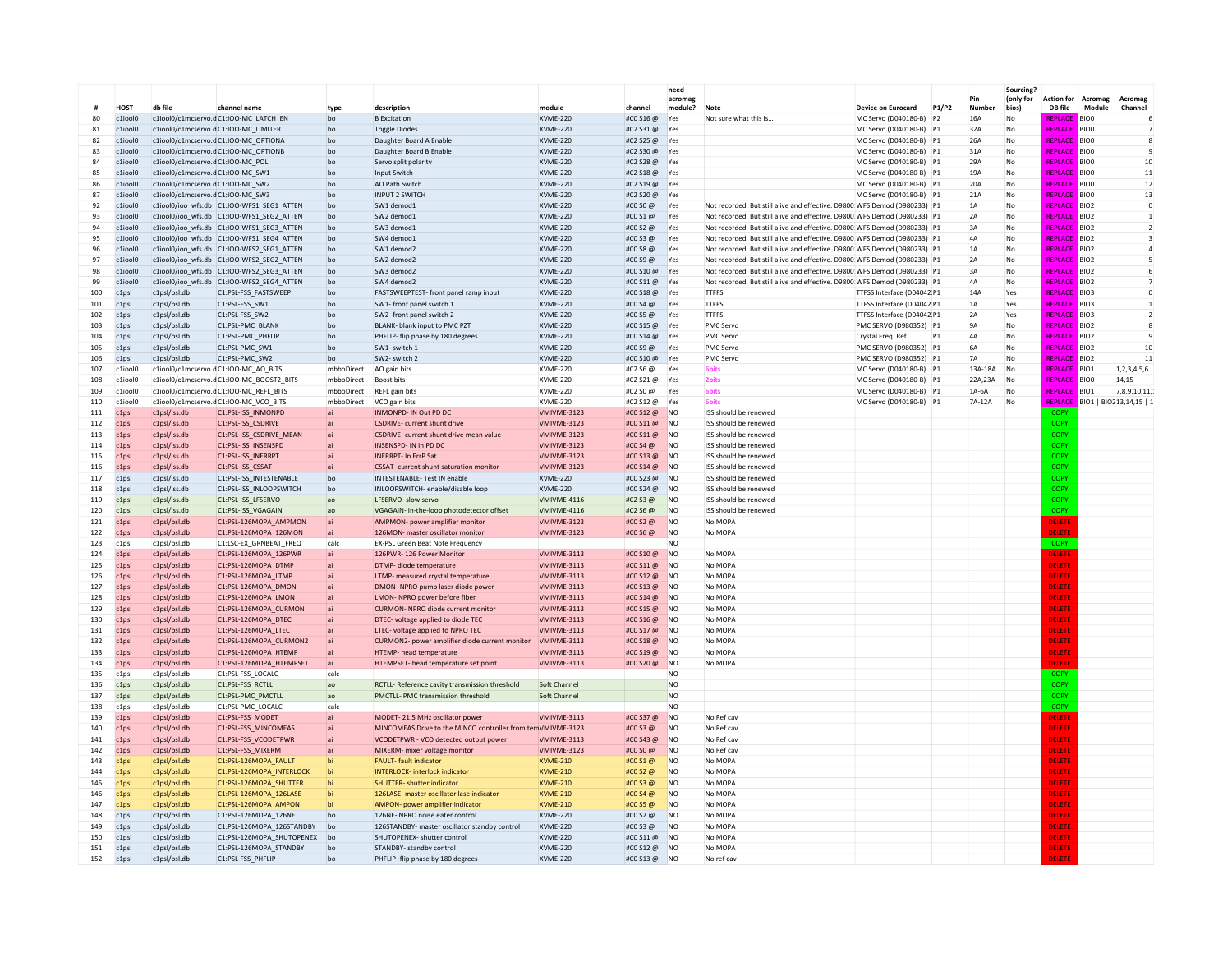|            |                           |                                                                      |                                                        |                  |                                                                       |                                    |                                  | need<br>acroma                   |                                                                            |                                                    |                | Pin                  | <b>Sourcing</b><br>(only for | <b>Action for</b>                | Acromag                              | Acromag                  |
|------------|---------------------------|----------------------------------------------------------------------|--------------------------------------------------------|------------------|-----------------------------------------------------------------------|------------------------------------|----------------------------------|----------------------------------|----------------------------------------------------------------------------|----------------------------------------------------|----------------|----------------------|------------------------------|----------------------------------|--------------------------------------|--------------------------|
|            | HO <sub>S</sub> T         | db file                                                              | channel name                                           | type             | description                                                           | module                             | channel                          | module?                          | Note                                                                       | <b>Device on Eurocard</b>                          | P1/P2          | <b>Number</b>        | bios)                        | DB file                          | Module                               | Channel                  |
| 80         | $c1$ ioolO                |                                                                      | c1iool0/c1mcservo.dC1:IOO-MC_LATCH_FN                  | bo               | <b>B</b> Excitation                                                   | <b>XVME-220</b>                    | #C0 S16 @                        | Yes                              | Not sure what this is                                                      | MC Servo (D040180-B) P2                            |                | <b>16A</b>           | No                           | <b>REPLACE</b>                   | <b>BIOC</b>                          | 6                        |
| 81         | c1iool0                   |                                                                      | c1iool0/c1mcservo.dC1:IOO-MC_LIMITER                   | bo               | <b>Toggle Diodes</b>                                                  | <b>XVME-220</b>                    | #C2 S31 @                        | Yes                              |                                                                            | MC Servo (D040180-B) P1                            |                | 32A                  | No                           | <b>REPLACE</b>                   | <b>BIOO</b>                          | 7                        |
| 82         | c1iool0                   |                                                                      | c1iool0/c1mcservo.dC1:IOO-MC_OPTIONA                   | bo               | Daughter Board A Enable                                               | <b>XVME-220</b>                    | #C2 S25 @                        | Yes                              |                                                                            | MC Servo (D040180-B) P1                            |                | 26A                  | No                           | <b>REPLACE</b>                   | <b>BIOO</b>                          | 8                        |
| 83         | c1iool0                   |                                                                      | c1iool0/c1mcservo.dC1:IOO-MC_OPTIONB                   | bo               | Daughter Board B Enable                                               | <b>XVME-220</b>                    | #C2 S30 @                        | Yes                              |                                                                            | MC Servo (D040180-B) P1                            |                | 31A                  | No                           | REPLACE                          | <b>BIOO</b>                          | $\overline{9}$           |
| 84<br>85   | c1iool0<br>c1iool0        | c1iool0/c1mcservo.dC1:IOO-MC POL<br>c1iool0/c1mcservo.dC1:IOO-MC SW1 |                                                        | bo<br>bo         | Servo split polarity<br><b>Input Switch</b>                           | <b>XVME-220</b><br><b>XVME-220</b> | #C2 S28 @<br>#C2 S18 @           | Yes<br>Yes                       |                                                                            | MC Servo (D040180-B) P1<br>MC Servo (D040180-B) P1 |                | 29A<br>19A           | No<br>No                     | REPLACE<br>REPLACE               | <b>BIO0</b><br>BIO <sub>0</sub>      | 10<br>$11\,$             |
| 86         | $c1$ ioolO                | c1iool0/c1mcservo.dC1:IOO-MC SW2                                     |                                                        | ho               | AO Path Switch                                                        | <b>XVMF-220</b>                    | #C2 S19 @                        | Yes                              |                                                                            | MC Servo (D040180-B) P1                            |                | 20A                  | No                           | <b>REPLACE</b>                   | <b>BIOO</b>                          | 12                       |
| 87         | c1iool0                   | c1iool0/c1mcservo.dC1:IOO-MC_SW3                                     |                                                        | bo               | <b>INPUT 2 SWITCH</b>                                                 | XVME-220                           | #C2 S20 @                        | Yes                              |                                                                            | MC Servo (D040180-B) P1                            |                | 21A                  | No                           | REPLACE                          | <b>BIOO</b>                          | 13                       |
| 92         | c1iool0                   |                                                                      | c1iool0/ioo_wfs.db C1:IOO-WFS1_SEG1_ATTEN              | bo               | SW1 demod1                                                            | <b>XVME-220</b>                    | #C0 S0 @                         | Yes                              | Not recorded. But still alive and effective. D9800: WFS Demod (D980233) P1 |                                                    |                | 1A                   | No                           | <b>REPLACE</b>                   | <b>BIO2</b>                          | $\bf 0$                  |
| 93         | c1iool0                   |                                                                      | c1iool0/ioo_wfs.db C1:IOO-WFS1_SEG2_ATTEN              | bo               | SW2 demod1                                                            | XVME-220                           | #CO S1 @                         | Yes                              | Not recorded. But still alive and effective. D9800: WFS Demod (D980233) P1 |                                                    |                | 2A                   | No                           | REPLACE                          | <b>BIO2</b>                          | $\mathbf{1}$             |
| 94         | c1iool0                   |                                                                      | c1iool0/ioo wfs.db C1:IOO-WFS1 SEG3 ATTEN              | bo               | SW3 demod1                                                            | <b>XVME-220</b>                    | #CO S2 @                         | Yes                              | Not recorded. But still alive and effective. D9800: WFS Demod (D980233) P1 |                                                    |                | 3A                   | No                           | REPLACE                          | <b>BIO2</b>                          | $\overline{2}$           |
| 95         | c1iool0                   |                                                                      | c1iool0/ioo_wfs.db C1:IOO-WFS1_SEG4_ATTEN              | bo               | SW4 demod1                                                            | XVME-220                           | #CO S3 @                         | Yes                              | Not recorded. But still alive and effective. D9800: WFS Demod (D980233) P1 |                                                    |                | 4A                   | No                           | REPLACE                          | BIO <sub>2</sub>                     | 3                        |
| 96         | c1iool0                   |                                                                      | c1iool0/ioo_wfs.db C1:IOO-WFS2_SEG1_ATTEN              | bo               | SW1 demod2                                                            | XVME-220                           | #CO S8 @                         | Yes                              | Not recorded. But still alive and effective. D9800: WFS Demod (D980233) P1 |                                                    |                | 1A                   | No                           | <b>REPLACE</b>                   | BIO <sub>2</sub>                     | $\overline{4}$           |
| 97         | c1iool0                   |                                                                      | c1iool0/ioo_wfs.db C1:IOO-WFS2_SEG2_ATTEN              | bo               | SW2 demod2                                                            | <b>XVME-220</b>                    | #CO S9 @                         | Yes                              | Not recorded. But still alive and effective. D9800: WFS Demod (D980233) P1 |                                                    |                | 2A                   | No                           | REPI ACI                         | BIO <sub>2</sub>                     | 5                        |
| 98         | c1iool0                   |                                                                      | c1iool0/ioo_wfs.db C1:IOO-WFS2_SEG3_ATTEN              | bo               | SW3 demod2                                                            | XVME-220                           | #C0 S10 @                        | Yes                              | Not recorded. But still alive and effective. D9800: WFS Demod (D980233) P1 |                                                    |                | 3A                   | No                           | <b>REPLACI</b>                   | BIO <sub>2</sub>                     | 6                        |
| 99         | $c1$ ioolo                |                                                                      | c1iool0/ioo_wfs.db C1:IOO-WFS2_SEG4_ATTEN              | ho               | SW4 demod2                                                            | <b>XVMF-220</b>                    | #C0 S11 @                        | Yes                              | Not recorded. But still alive and effective. D9800: WFS Demod (D980233) P1 |                                                    |                | 4A                   | No                           | <b>REPLACI</b>                   | BIO <sub>2</sub>                     | $\overline{7}$           |
| 100        | $c1$ nsl                  | c1nsl/nsl.dh                                                         | C1:PSL-FSS FASTSWEEP                                   | ho               | FASTSWEEPTEST- front panel ramp input                                 | <b>XVME-220</b>                    | #C0 S18 @                        | Yes                              | TTEES                                                                      | TTESS Interface (D04042 P1                         |                | 14A                  | Yes                          | <b>REPLACE</b>                   | <b>BIO3</b>                          | $\Omega$                 |
| 101        | c1ns                      | c1psl/psl.db                                                         | C1:PSL-FSS_SW1                                         | ho               | SW1- front panel switch 1                                             | <b>XVME-220</b>                    | #CO S4 @                         | Yes                              | <b>TTFFS</b>                                                               | TTFSS Interface (D04042 P1                         |                | 1A                   | Yes                          | <b>REPLACE</b>                   | <b>BIO3</b>                          | $\mathbf{1}$             |
| 102        | c1 <sub>DS</sub>          | c1psl/psl.db                                                         | C1:PSL-FSS_SW2                                         | bo               | SW2- front panel switch 2                                             | XVME-220                           | #CO S5 @                         | Yes                              | <b>TTFFS</b>                                                               | TTFSS Interface (D04042 P1                         |                | 2A                   | Yes                          | <b>REPLACE</b>                   | <b>BIO3</b>                          | $\overline{\phantom{a}}$ |
| 103        | c1 <sub>DS</sub>          | c1psl/psl.db                                                         | C1:PSL-PMC BLANK                                       | bo               | BLANK- blank input to PMC PZT                                         | <b>XVME-220</b>                    | #C0 S15 @                        | Yes                              | <b>PMC Servo</b>                                                           | PMC SERVO (D980352) P1                             |                | <b>9A</b>            | No                           | REPLACE                          | <b>BIO2</b>                          | 8                        |
| 104        | c1 <sub>DS</sub>          | c1psl/psl.db                                                         | C1:PSL-PMC PHFLIP                                      | bo               | PHFLIP- flip phase by 180 degrees                                     | XVME-220                           | #CO S14 @                        | Yes                              | <b>PMC Servo</b>                                                           | Crystal Freq. Ref                                  | P <sub>1</sub> | 4A                   | No                           | REPLACE                          | <b>BIO2</b>                          | 9                        |
| 105        | c1 <sub>DS</sub>          | c1psl/psl.db                                                         | C1:PSL-PMC SW1                                         | bo               | SW1- switch 1                                                         | <b>XVME-220</b>                    | #CO S9 @                         | Yes                              | PMC Servo                                                                  | PMC SERVO (D980352) P1                             |                | 6A                   | No                           | REPLACE                          | <b>BIO2</b>                          | 10                       |
| 106<br>107 | $c1$ psl<br>$c1$ ioolo    | c1psl/psl.db                                                         | C1:PSI-PMC SW2<br>c1iool0/c1mcservo.dC1:IOO-MC AO BITS | ho<br>mbboDirect | SW <sub>2</sub> - switch <sub>2</sub><br>AO gain bits                 | <b>XVMF-220</b><br><b>XVME-220</b> | #C0 S10 @<br>#C2 S6 @            | Yes                              | <b>PMC Servo</b><br>6bit:                                                  | PMC SERVO (D980352) P1                             |                | <b>7A</b><br>13A-18A | No<br>No                     | <b>REPLACE</b><br><b>REPLACE</b> | BIO <sub>2</sub><br>BIO <sub>1</sub> | 11<br>1,2,3,4,5,6        |
| 108        | c1iool0                   |                                                                      | c1iool0/c1mcservo.dC1:IOO-MC_BOOST2_BITS               | mbboDirect       | Boost bits                                                            | <b>XVME-220</b>                    | #C2 S21 @                        | Yes<br>Yes                       | 2 <sub>bits</sub>                                                          | MC Servo (D040180-B) P1<br>MC Servo (D040180-B) P1 |                | 22A, 23A             | No                           | <b>REPLACE</b>                   | <b>BIOO</b>                          | 14.15                    |
| 109        | c1iool0                   |                                                                      | c1iool0/c1mcservo.dC1:IOO-MC REFL BITS                 | mbboDirect       | <b>REFL gain bits</b>                                                 | <b>XVME-220</b>                    | #C2 S0 @                         | Yes                              | <b>6bits</b>                                                               | MC Servo (D040180-B) P1                            |                | $1A-6A$              | No                           | REPLACI                          | BIO <sub>1</sub>                     | 7.8.9.10.11.1            |
| 110        | c1iool0                   |                                                                      | c1iool0/c1mcservo.dC1:IOO-MC_VCO_BITS                  | mbboDirect       | VCO gain bits                                                         | <b>XVME-220</b>                    | #C2 S12 @                        | Yes                              | <b>Shit</b>                                                                | MC Servo (D040180-B) P1                            |                | 7A-12A               | No                           | REPLAC                           | BIO1   BIO213,14,15   1              |                          |
| 111        | c1 <sub>DS</sub>          | c1psl/iss.db                                                         | C1:PSL-ISS INMONPD                                     |                  | INMONPD- IN Out PD DC                                                 | VMIVME-3123                        | #CO S12 @                        | N <sub>O</sub>                   | ISS should be renewed                                                      |                                                    |                |                      |                              | <b>COP</b>                       |                                      |                          |
| 112        | c1 <sub>DS</sub>          | c1psl/iss.db                                                         | C1:PSL-ISS CSDRIVE                                     |                  | <b>CSDRIVE- current shunt drive</b>                                   | VMIVME-3123                        | #C0 S11 @                        | <b>NO</b>                        | ISS should be renewed                                                      |                                                    |                |                      |                              | <b>COPY</b>                      |                                      |                          |
| 113        | c1 <sub>ps</sub>          | c1psl/iss.db                                                         | C1:PSL-ISS_CSDRIVE_MEAN                                |                  | CSDRIVE- current shunt drive mean value                               | VMIVME-3123                        | #CO S11@                         | <b>NO</b>                        | ISS should be renewed                                                      |                                                    |                |                      |                              | <b>COPY</b>                      |                                      |                          |
| 114        | c1 <sub>ps</sub>          | c1psl/iss.db                                                         | C1:PSL-ISS_INSENSPD                                    |                  | <b>INSENSPD-IN In PD DC</b>                                           | VMIVME-3123                        | #CO S4 @                         | <b>NO</b>                        | ISS should be renewed                                                      |                                                    |                |                      |                              | COPY                             |                                      |                          |
| 115        | c1 <sub>ps</sub>          | c1psl/iss.db                                                         | C1:PSL-ISS_INERRPT                                     |                  | <b>INERRPT- In ErrP Sat</b>                                           | VMIVME-3123                        | #CO S13 @                        | <b>NO</b>                        | ISS should be renewed                                                      |                                                    |                |                      |                              | COPY                             |                                      |                          |
| 116        | c1 <sub>ps</sub>          | c1psl/iss.db                                                         | C1:PSL-ISS_CSSAT                                       |                  | <b>CSSAT-</b> current shunt saturation monitor                        | VMIVME-3123                        | #C0 S14 @                        | <b>NO</b>                        | ISS should be renewed                                                      |                                                    |                |                      |                              | COPY                             |                                      |                          |
| 117        | c1 <sub>DS</sub>          | c1psl/iss.db                                                         | C1:PSL-ISS INTESTENABLE                                | bo               | <b>INTESTENABLE-Test IN enable</b>                                    | <b>XVME-220</b>                    | #CO S23 @                        | <b>NO</b>                        | ISS should be renewed                                                      |                                                    |                |                      |                              | COPY                             |                                      |                          |
| 118        | c1ns                      | c1nsl/iss.dh                                                         | C1:PSL-ISS_INLOOPSWITCH                                | ho               | INI OOPSWITCH- enable/disable loop                                    | <b>XVMF-220</b>                    | #C0 \$24 @                       | N <sub>O</sub>                   | ISS should be renewed                                                      |                                                    |                |                      |                              | COPY                             |                                      |                          |
| 119        | c1psl                     | c1psl/iss.db                                                         | C1:PSL-ISS LFSERVO                                     | ao               | <b>LESERVO- slow servo</b>                                            | VMIVMF-4116                        | #C <sub>2</sub> S <sub>3</sub> @ | N <sub>O</sub>                   | ISS should be renewed                                                      |                                                    |                |                      |                              | COPY                             |                                      |                          |
| 120        | c1 <sub>ps</sub>          | c1psl/iss.db                                                         | C1:PSL-ISS VGAGAIN                                     | ao               | VGAGAIN- in-the-loop photodetector offset                             | VMIVME-4116                        | #C2 S6 @                         | <b>NO</b>                        | ISS should be renewed                                                      |                                                    |                |                      |                              | COPY                             |                                      |                          |
| 121        | c1 <sub>DS</sub>          | c1psl/psl.db                                                         | C1:PSL-126MOPA AMPMON                                  | ai               | AMPMON- power amplifier monitor                                       | VMIVME-3123                        | #CO S2 @                         | <b>NO</b>                        | No MOPA                                                                    |                                                    |                |                      |                              | DELETE                           |                                      |                          |
| 122        | c1psl                     | c1psl/psl.db                                                         | C1:PSL-126MOPA 126MON                                  | <b>ai</b>        | 126MON- master oscillator monitor                                     | VMIVME-3123                        | #CO S6 @                         | N <sub>O</sub>                   | No MOPA                                                                    |                                                    |                |                      |                              | <b>ELETE</b>                     |                                      |                          |
| 123<br>124 | c1ns<br>c1ns              | c1nsl/nsl.dh                                                         | C1:LSC-EX GRNBEAT FREQ                                 | calc             | <b>FX-PSL Green Beat Note Frequency</b>                               | VMIVMF-3113                        | #C0 \$10 @                       | N <sub>O</sub><br>N <sub>O</sub> | No MOPA                                                                    |                                                    |                |                      |                              | <b>COPY</b>                      |                                      |                          |
|            |                           | c1psl/psl.db                                                         | C1:PSL-126MOPA 126PWR                                  | <b>ai</b>        | 126PWR-126 Power Monitor<br>DTMP- diode temperature                   | VMIVME-3113                        |                                  | <b>NO</b>                        | No MOPA                                                                    |                                                    |                |                      |                              | <b>DELETE</b><br>DELETE          |                                      |                          |
| 125<br>126 | c1psl<br>c1 <sub>DS</sub> | c1psl/psl.db<br>c1psl/psl.db                                         | C1:PSL-126MOPA_DTMP<br>C1:PSL-126MOPA LTMP             |                  | LTMP- measured crystal temperature                                    | VMIVME-3113                        | #CO S11 @<br>#C0 S12 @           | <b>NO</b>                        | No MOPA                                                                    |                                                    |                |                      |                              | DELETE                           |                                      |                          |
| 127        | c1psl                     | c1psl/psl.db                                                         | C1:PSL-126MOPA DMON                                    |                  | DMON- NPRO pump laser diode power                                     | VMIVME-3113                        | #CO S13 @                        | <b>NO</b>                        | No MOPA                                                                    |                                                    |                |                      |                              | <b>DELETE</b>                    |                                      |                          |
| 128        | c1 <sub>DS</sub>          | c1psl/psl.db                                                         | C1:PSL-126MOPA LMON                                    |                  | LMON- NPRO power before fiber                                         | VMIVME-3113                        | #C0 S14 @                        | <b>NO</b>                        | No MOPA                                                                    |                                                    |                |                      |                              | DELETE                           |                                      |                          |
| 129        | c1 <sub>DS</sub>          | c1psl/psl.db                                                         | C1:PSL-126MOPA CURMON                                  |                  | CURMON- NPRO diode current monitor                                    | VMIVMF-3113                        | #C0 S15 @                        | N <sub>O</sub>                   | No MOPA                                                                    |                                                    |                |                      |                              | <b>DELETE</b>                    |                                      |                          |
| 130        | c1 <sub>ps</sub>          | c1psl/psl.db                                                         | C1:PSL-126MOPA_DTEC                                    |                  | DTEC- voltage applied to diode TEC                                    | VMIVME-3113                        | #C0 S16 @                        | <b>NO</b>                        | No MOPA                                                                    |                                                    |                |                      |                              | <b>DELETE</b>                    |                                      |                          |
| 131        | c1 <sub>ps</sub>          | c1psl/psl.db                                                         | C1:PSL-126MOPA_LTEC                                    |                  | LTEC- voltage applied to NPRO TEC                                     | VMIVME-3113                        | #CO S17 @                        | <b>NO</b>                        | No MOPA                                                                    |                                                    |                |                      |                              | <b>DELETE</b>                    |                                      |                          |
| 132        | c1psl                     | c1psl/psl.db                                                         | C1:PSL-126MOPA CURMON2                                 |                  | CURMON2- power amplifier diode current monitor                        | VMIVME-3113                        | #C0 S18 @                        | <b>NO</b>                        | No MOPA                                                                    |                                                    |                |                      |                              | <b>DELETE</b>                    |                                      |                          |
| 133        | c1psl                     | c1psl/psl.db                                                         | C1:PSL-126MOPA_HTEMP                                   |                  | HTEMP- head temperature                                               | VMIVME-3113                        | #CO S19 @                        | <b>NO</b>                        | No MOPA                                                                    |                                                    |                |                      |                              | DELETE                           |                                      |                          |
| 134        | c1 <sub>DS</sub>          | c1psl/psl.db                                                         | C1:PSL-126MOPA HTEMPSET                                | <b>ai</b>        | HTEMPSET- head temperature set point                                  | VMIVME-3113                        | #CO \$20 @                       | <b>NO</b>                        | No MOPA                                                                    |                                                    |                |                      |                              | ELETE                            |                                      |                          |
| 135        | c1psl                     | c1psl/psl.db                                                         | C1:PSL-FSS_LOCALC                                      | cald             |                                                                       |                                    |                                  | N <sub>O</sub>                   |                                                                            |                                                    |                |                      |                              | <b>COPY</b>                      |                                      |                          |
| 136        | c1 <sub>ps</sub>          | c1psl/psl.db                                                         | C1:PSL-FSS RCTLL                                       | ao               | RCTLL- Reference cavity transmission threshold                        | Soft Channel                       |                                  | N <sub>O</sub>                   |                                                                            |                                                    |                |                      |                              | COPY                             |                                      |                          |
| 137        | c1 <sub>ps</sub>          | c1psl/psl.db                                                         | C1:PSL-PMC_PMCTLL                                      | ao               | PMCTLL- PMC transmission threshold                                    | Soft Channel                       |                                  | <b>NO</b>                        |                                                                            |                                                    |                |                      |                              | COPY                             |                                      |                          |
| 138        | c1psl                     | c1psl/psl.db                                                         | C1:PSL-PMC_LOCALC                                      | cald             |                                                                       |                                    |                                  | N <sub>O</sub>                   |                                                                            |                                                    |                |                      |                              | COPY                             |                                      |                          |
| 139        | c1 <sub>DS</sub>          | c1psl/psl.db                                                         | C1:PSL-FSS_MODET                                       | <b>ai</b>        | MODET-21.5 MHz oscillator power                                       | VMIVMF-3113                        | #CO S37@                         | <b>NO</b>                        | No Ref cay                                                                 |                                                    |                |                      |                              | <b>DELETE</b>                    |                                      |                          |
| 140        | c1 <sub>DS</sub>          | c1nsl/nsl.dh                                                         | C1:PSL-FSS_MINCOMEAS                                   | <b>lai</b>       | MINCOMEAS Drive to the MINCO controller from tem VMIVME-3123          |                                    | $#CO$ S3 @                       | N <sub>O</sub>                   | No Ref cay                                                                 |                                                    |                |                      |                              | DELETE                           |                                      |                          |
| 141        | c1psl                     | c1psl/psl.db                                                         | C1:PSL-FSS VCODETPWR                                   |                  | VCODETPWR - VCO detected output power                                 | VMIVMF-3113                        | #CO S43 @                        | <b>NO</b>                        | No Ref cay                                                                 |                                                    |                |                      |                              | <b>DELETE</b>                    |                                      |                          |
| 142        | c1psl                     | c1psl/psl.db                                                         | C1:PSL-FSS_MIXERM                                      |                  | MIXERM- mixer voltage monitor                                         | VMIVME-3123                        | #CO SO @                         | <b>NO</b>                        | No Ref cav                                                                 |                                                    |                |                      |                              | DELETE                           |                                      |                          |
| 143<br>144 | c1 <sub>DS</sub><br>c1psl | c1psl/psl.db<br>c1psl/psl.db                                         | C1:PSL-126MOPA FAULT<br>C1:PSL-126MOPA INTERLOCK       | hi               | <b>FAULT-fault indicator</b><br><b>INTERLOCK-</b> interlock indicator | XVME-210<br><b>XVMF-210</b>        | #CO S1 @<br>$#COS2$ @            | N <sub>O</sub><br><b>NO</b>      | No MOPA<br>No MOPA                                                         |                                                    |                |                      |                              | <b>DELETE</b><br><b>DELETE</b>   |                                      |                          |
| 145        | c1 <sub>DS</sub>          | c1psl/psl.db                                                         | C1:PSL-126MOPA SHUTTER                                 | hi               | <b>SHUTTER- shutter indicator</b>                                     | <b>XVME-210</b>                    | #CO S3@                          | <b>NO</b>                        | No MOPA                                                                    |                                                    |                |                      |                              | <b>DELETE</b>                    |                                      |                          |
| 146        | c1 <sub>DS</sub>          | c1psl/psl.db                                                         | C1:PSL-126MOPA 126LASE                                 | hi               | 126LASE- master oscillator lase indicator                             | <b>XVMF-210</b>                    | #CO S4 $\omega$                  | <b>NO</b>                        | No MOPA                                                                    |                                                    |                |                      |                              | <b>DELETE</b>                    |                                      |                          |
| 147        | c1psl                     | c1psl/psl.db                                                         | C1:PSL-126MOPA AMPON                                   |                  | AMPON- power amplifier indicato                                       | XVME-210                           | #CO S5 @                         | N <sub>O</sub>                   | No MOPA                                                                    |                                                    |                |                      |                              | <b>DELETE</b>                    |                                      |                          |
| 148        | c1psl                     | c1psl/psl.db                                                         | C1:PSL-126MOPA_126NE                                   | bo               | 126NE- NPRO noise eater control                                       | <b>XVME-220</b>                    | #CO S2 @                         | <b>NO</b>                        | No MOPA                                                                    |                                                    |                |                      |                              | DELETE                           |                                      |                          |
| 149        | c1psl                     | c1psl/psl.db                                                         | C1:PSL-126MOPA 126STANDBY                              | bo               | 126STANDBY- master oscillator standby control                         | XVME-220                           | #CO S3 @                         | <b>NO</b>                        | No MOPA                                                                    |                                                    |                |                      |                              | DELETE                           |                                      |                          |
| 150        | c1 <sub>DS</sub>          | c1psl/psl.db                                                         | C1:PSL-126MOPA SHUTOPENEX                              | bo               | SHUTOPENEX- shutter control                                           | <b>XVME-220</b>                    | #C0 S11 @                        | <b>NO</b>                        | No MOPA                                                                    |                                                    |                |                      |                              | DELETE                           |                                      |                          |
| 151        | c1 <sub>DS</sub>          | c1psl/psl.db                                                         | C1:PSL-126MOPA STANDBY                                 | bo               | STANDBY- standby control                                              | <b>XVME-220</b>                    | #CO S12 @                        | <b>NO</b>                        | No MOPA                                                                    |                                                    |                |                      |                              | <b>DELETE</b>                    |                                      |                          |
| 152        | c1 <sub>DS</sub>          | c1psl/psl.db                                                         | C1:PSL-FSS_PHFLIP                                      | bo               | PHFLIP- flip phase by 180 degrees                                     | <b>XVMF-220</b>                    | #CO S13 @                        | N <sub>O</sub>                   | No ref cay                                                                 |                                                    |                |                      |                              | <b>ELETE</b>                     |                                      |                          |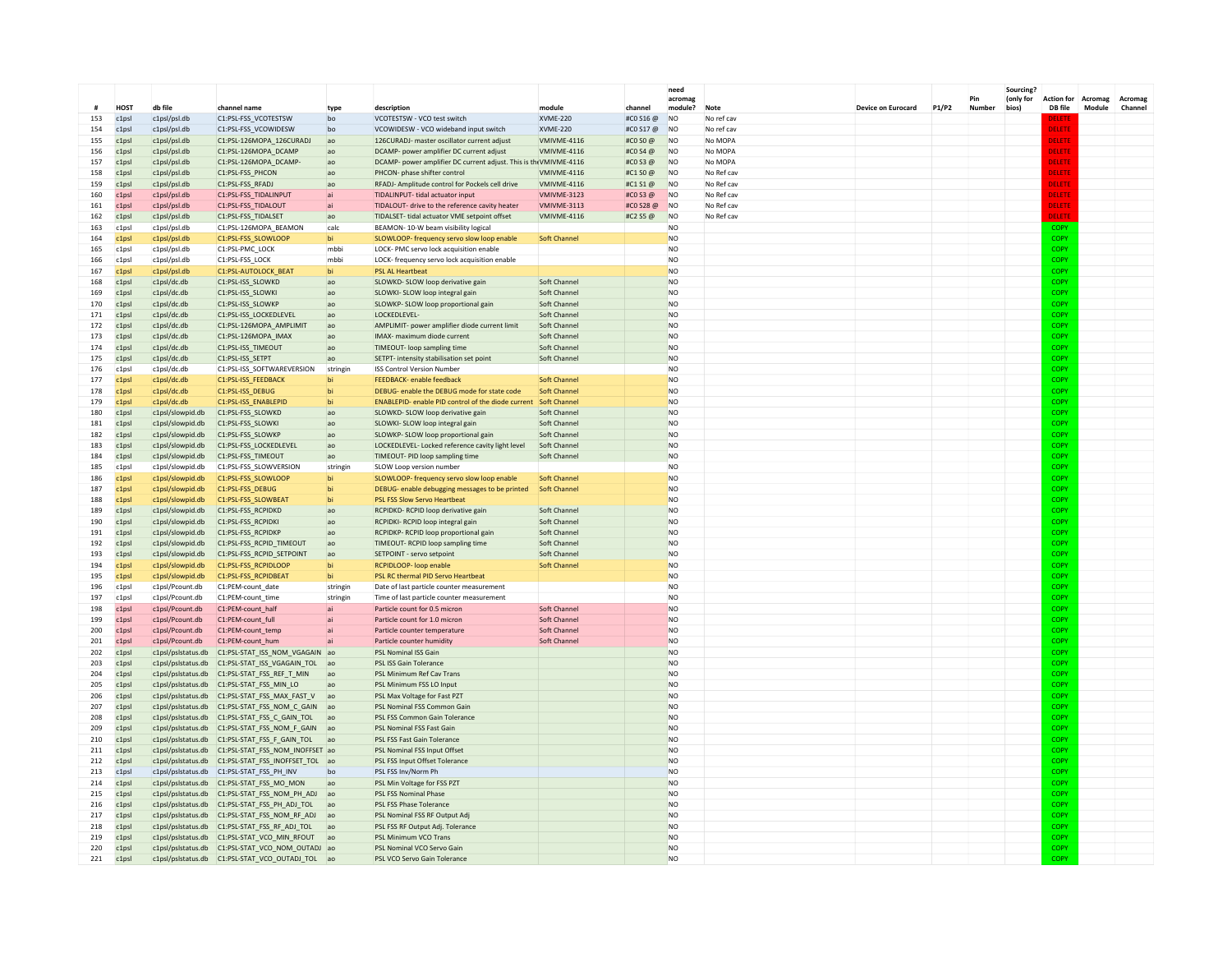|            |                                      |                                          |                                                                                          |              |                                                                                         |                             |                      | need                   |                          |                    |              |               | Sourcing?<br>(only for |                              |                   |                    |
|------------|--------------------------------------|------------------------------------------|------------------------------------------------------------------------------------------|--------------|-----------------------------------------------------------------------------------------|-----------------------------|----------------------|------------------------|--------------------------|--------------------|--------------|---------------|------------------------|------------------------------|-------------------|--------------------|
|            | <b>HOST</b>                          | db file                                  | channel name                                                                             | type         | description                                                                             | module                      | channe               | acromag<br>module?     | <b>Note</b>              | Device on Eurocard | <b>P1/P2</b> | Pin<br>Number | bios)                  | <b>Action for</b><br>DB file | Acromag<br>Module | Acromag<br>Channel |
| 153        | c1psl                                | c1psl/psl.db                             | C1:PSL-FSS_VCOTESTSW                                                                     | bo           | VCOTESTSW - VCO test switch                                                             | <b>XVME-220</b>             | #C0 S16 @            | <b>NO</b>              | No ref cav               |                    |              |               |                        | DELETI                       |                   |                    |
| 154        | c1 <sub>DS</sub>                     | c1psl/psl.db                             | C1:PSL-FSS VCOWIDESW                                                                     | bo           | VCOWIDESW - VCO wideband input switch                                                   | <b>XVME-220</b>             | #CO S17 @            | <b>NO</b>              | No ref cay               |                    |              |               |                        | DELETE                       |                   |                    |
| 155        | c1 <sub>DS</sub>                     | c1psl/psl.db                             | C1:PSL-126MOPA_126CURADJ                                                                 | ao           | 126CURADJ- master oscillator current adjust                                             | VMIVME-4116                 | #CO SO @             | <b>NO</b>              | No MOPA                  |                    |              |               |                        | DELETE                       |                   |                    |
| 156        | c1 <sub>ps</sub>                     | c1psl/psl.db                             | C1:PSL-126MOPA_DCAMP                                                                     | ao           | DCAMP- power amplifier DC current adjust                                                | VMIVMF-4116                 | #COS4@               | N <sub>O</sub>         | No MOPA                  |                    |              |               |                        | DELETE                       |                   |                    |
| 157        | c1 <sub>ps</sub>                     | c1psl/psl.db                             | C1:PSL-126MOPA_DCAMP                                                                     | ao           | DCAMP- power amplifier DC current adjust. This is                                       | theVMIVME-4116              | #CO S3 @             | <b>NO</b>              | No MOPA                  |                    |              |               |                        | DELETE                       |                   |                    |
| 158<br>159 | c1 <sub>ps</sub><br>c1psl            | c1psl/psl.db<br>c1psl/psl.db             | C1:PSL-FSS_PHCON<br>C1:PSL-FSS_RFADJ                                                     | ao           | PHCON- phase shifter control<br>RFADJ- Amplitude control for Pockels cell drive         | VMIVME-4116<br>VMIVME-4116  | #C1 S0 @<br>#C1 S1 @ | <b>NO</b><br><b>NO</b> | No Ref cav<br>No Ref cav |                    |              |               |                        | DELETE<br>DELETE             |                   |                    |
| 160        | c1 <sub>DS</sub>                     | c1psl/psl.db                             | C1:PSL-FSS_TIDALINPUT                                                                    | ao<br>ai     | TIDALINPUT- tidal actuator input                                                        | VMIVME-3123                 | #CO S3 @             | <b>NO</b>              | No Ref cav               |                    |              |               |                        | DELETI                       |                   |                    |
| 161        | c <sub>1ps</sub>                     | c1psl/psl.db                             | C1:PSL-FSS_TIDALOUT                                                                      | ai           | TIDALOUT- drive to the reference cavity heater                                          | VMIVME-3113                 | #CO S28 @            | <b>NO</b>              | No Ref cav               |                    |              |               |                        | DELETE                       |                   |                    |
| 162        | c1psl                                | c1psl/psl.db                             | C1:PSL-FSS_TIDALSET                                                                      | ao           | TIDALSET-tidal actuator VME setpoint offset                                             | VMIVME-4116                 | #C2 S5 @             | <b>NO</b>              | No Ref cav               |                    |              |               |                        | <b>DELET</b>                 |                   |                    |
| 163        | c1psl                                | c1psl/psl.db                             | C1:PSL-126MOPA_BEAMON                                                                    | cald         | BEAMON-10-W beam visibility logica                                                      |                             |                      | N <sub>C</sub>         |                          |                    |              |               |                        | COPY                         |                   |                    |
| 164        | c1 <sub>ps</sub>                     | c1psl/psl.db                             | C1:PSL-FSS SLOWLOOI                                                                      |              | SLOWLOOP- frequency servo slow loop enable                                              | Soft Channel                |                      | <b>NO</b>              |                          |                    |              |               |                        | COPY                         |                   |                    |
| 165        | c1psl                                | c1psl/psl.db                             | C1:PSL-PMC_LOCK                                                                          | mbb          | LOCK- PMC servo lock acquisition enable                                                 |                             |                      | <b>NO</b>              |                          |                    |              |               |                        | COPY                         |                   |                    |
| 166        | c1ps                                 | c1psl/psl.db                             | C1:PSL-FSS LOCK                                                                          | mbbi         | LOCK- frequency servo lock acquisition enable                                           |                             |                      | <b>NO</b>              |                          |                    |              |               |                        | COPY                         |                   |                    |
| 167        | c1 <sub>DS</sub>                     | c1psl/psl.db                             | C1:PSL-AUTOLOCK_BEAT                                                                     | bi           | <b>PSL AL Heartbeat</b>                                                                 |                             |                      | <b>NO</b>              |                          |                    |              |               |                        | COPY                         |                   |                    |
| 168        | c1psl                                | c1psl/dc.db                              | C1:PSL-ISS_SLOWKD                                                                        | ao           | SLOWKD-SLOW loop derivative gain                                                        | Soft Channel                |                      | <b>NO</b>              |                          |                    |              |               |                        | COPY                         |                   |                    |
| 169        | c1 <sub>ps</sub>                     | c1psl/dc.db                              | C1:PSL-ISS_SLOWKI                                                                        | ao           | SLOWKI- SLOW loop integral gain                                                         | Soft Channel                |                      | <b>NO</b><br><b>NO</b> |                          |                    |              |               |                        | COPY                         |                   |                    |
| 170<br>171 | c1 <sub>ps</sub><br>c1psl            | c1psl/dc.db<br>c1psl/dc.db               | C1:PSL-ISS_SLOWKP<br>C1:PSL-ISS_LOCKEDLEVEL                                              | ao<br>ao     | SLOWKP- SLOW loop proportional gain<br>LOCKEDLEVEL                                      | Soft Channel<br>Soft Channe |                      | <b>NO</b>              |                          |                    |              |               |                        | COPY<br>COPY                 |                   |                    |
| 172        | c1 <sub>DS</sub>                     | c1psl/dc.db                              | C1:PSL-126MOPA_AMPLIMIT                                                                  | ao           | AMPLIMIT- power amplifier diode current limit                                           | Soft Channel                |                      | <b>NO</b>              |                          |                    |              |               |                        | COPY                         |                   |                    |
| 173        | c1 <sub>DS</sub>                     | c1psl/dc.db                              | C1:PSL-126MOPA_IMAX                                                                      | ao           | IMAX- maximum diode current                                                             | Soft Channel                |                      | <b>NO</b>              |                          |                    |              |               |                        | COPY                         |                   |                    |
| 174        | c1psl                                | c1psl/dc.db                              | C1:PSL-ISS_TIMEOUT                                                                       | ao           | TIMEOUT- loop sampling time                                                             | Soft Channe                 |                      | <b>NO</b>              |                          |                    |              |               |                        | COPY                         |                   |                    |
| 175        | c1 <sub>ps</sub>                     | c1psl/dc.db                              | C1:PSL-ISS_SETPT                                                                         | ao           | SETPT- intensity stabilisation set point                                                | Soft Channel                |                      | <b>NO</b>              |                          |                    |              |               |                        | COPY                         |                   |                    |
| 176        | c1 <sub>ps</sub>                     | c1psl/dc.db                              | C1:PSL-ISS_SOFTWAREVERSION                                                               | stringin     | <b>ISS Control Version Number</b>                                                       |                             |                      | N <sub>O</sub>         |                          |                    |              |               |                        | COPY                         |                   |                    |
| 177        | c1 <sub>ps</sub>                     | c1psl/dc.db                              | C1:PSL-ISS_FEEDBACK                                                                      |              | <b>FEEDBACK- enable feedback</b>                                                        | Soft Channe                 |                      | <b>NO</b>              |                          |                    |              |               |                        | COPY                         |                   |                    |
| 178        | c1 <sub>DS</sub>                     | c1psl/dc.db                              | C1:PSL-ISS DEBUG                                                                         | hi           | DEBUG- enable the DEBUG mode for state code                                             | Soft Channel                |                      | <b>NO</b>              |                          |                    |              |               |                        | COPY                         |                   |                    |
| 179        | c1 <sub>DS</sub>                     | c1psl/dc.db                              | C1:PSL-ISS ENABLEPID                                                                     | hi           | <b>ENABLEPID- enable PID control of the diode current</b>                               | Soft Channe                 |                      | <b>NO</b>              |                          |                    |              |               |                        | COPY                         |                   |                    |
| 180        | c1 <sub>ps</sub>                     | c1psl/slowpid.db                         | C1:PSL-FSS_SLOWKD                                                                        | $a^{\alpha}$ | SLOWKD-SLOW loop derivative gain                                                        | Soft Channel                |                      | <b>NO</b><br><b>NO</b> |                          |                    |              |               |                        | COPY                         |                   |                    |
| 181<br>182 | c1 <sub>ps</sub><br>c1 <sub>ps</sub> | c1psl/slowpid.db<br>c1psl/slowpid.db     | C1:PSL-FSS_SLOWKI<br>C1:PSL-FSS_SLOWKP                                                   | ao<br>ao     | SLOWKI- SLOW loop integral gain                                                         | Soft Channe<br>Soft Channel |                      | <b>NO</b>              |                          |                    |              |               |                        | COPY<br>COPY                 |                   |                    |
| 183        | c1psl                                | c1psl/slowpid.db                         | C1:PSL-FSS_LOCKEDLEVEL                                                                   | ao           | SLOWKP- SLOW loop proportional gain<br>LOCKEDLEVEL- Locked reference cavity light level | Soft Channe                 |                      | <b>NO</b>              |                          |                    |              |               |                        | COPY                         |                   |                    |
| 184        | c1psl                                | c1psl/slowpid.db                         | C1:PSL-FSS_TIMEOUT                                                                       | ao           | TIMEOUT- PID loop sampling time                                                         | Soft Channel                |                      | <b>NO</b>              |                          |                    |              |               |                        | COPY                         |                   |                    |
| 185        | c1psl                                | c1psl/slowpid.db                         | C1:PSL-FSS_SLOWVERSION                                                                   | stringin     | SLOW Loop version number                                                                |                             |                      | N <sub>O</sub>         |                          |                    |              |               |                        | COPY                         |                   |                    |
| 186        | c1psl                                | c1psl/slowpid.db                         | C1:PSL-FSS SLOWLOOR                                                                      | bi           | SLOWLOOP- frequency servo slow loop enable                                              | Soft Channe                 |                      | <b>NO</b>              |                          |                    |              |               |                        | COPY                         |                   |                    |
| 187        | c1psl                                | c1psl/slowpid.db                         | C1:PSL-FSS DEBUG                                                                         | bi           | DEBUG- enable debugging messages to be printed                                          | Soft Channe                 |                      | <b>NO</b>              |                          |                    |              |               |                        | COPY                         |                   |                    |
| 188        | c1 <sub>ps</sub>                     | c1psl/slowpid.db                         | C1:PSL-FSS_SLOWBEAT                                                                      | bi           | PSL FSS Slow Servo Heartbea                                                             |                             |                      | <b>NO</b>              |                          |                    |              |               |                        | COPY                         |                   |                    |
| 189        | c1psl                                | c1psl/slowpid.db                         | C1:PSL-FSS_RCPIDKD                                                                       | ao           | RCPIDKD-RCPID loop derivative gain                                                      | Soft Channel                |                      | <b>NO</b>              |                          |                    |              |               |                        | COPY                         |                   |                    |
| 190        | c1psl                                | c1psl/slowpid.db                         | C1:PSL-FSS_RCPIDKI                                                                       | ao           | RCPIDKI- RCPID loop integral gain                                                       | Soft Channel                |                      | <b>NO</b>              |                          |                    |              |               |                        | COPY                         |                   |                    |
| 191        | c1 <sub>DS</sub>                     | c1psl/slowpid.db                         | C1:PSL-FSS RCPIDKP                                                                       | ao           | RCPIDKP- RCPID loop proportional gain                                                   | Soft Channel                |                      | <b>NO</b><br><b>NO</b> |                          |                    |              |               |                        | COPY                         |                   |                    |
| 192<br>193 | c1 <sub>ps</sub><br>c1psl            | c1psl/slowpid.db<br>c1psl/slowpid.db     | C1:PSL-FSS_RCPID_TIMEOUT<br>C1:PSL-FSS_RCPID_SETPOINT                                    | ao<br>ao     | TIMEOUT-RCPID loop sampling time<br>SETPOINT - servo setpoint                           | Soft Channe<br>Soft Channel |                      | <b>NO</b>              |                          |                    |              |               |                        | COPY<br>COPY                 |                   |                    |
| 194        | c1 <sub>ps</sub>                     | c1psl/slowpid.db                         | C1:PSL-FSS_RCPIDLOOF                                                                     |              | RCPIDLOOP- loop enable                                                                  | Soft Channe                 |                      | <b>NO</b>              |                          |                    |              |               |                        | COPY                         |                   |                    |
| 195        | c1psl                                | c1psl/slowpid.db                         | C1:PSL-FSS_RCPIDBEAT                                                                     | bi           | PSL RC thermal PID Servo Heartbeat                                                      |                             |                      | <b>NO</b>              |                          |                    |              |               |                        | COPY                         |                   |                    |
| 196        | c1psl                                | c1psl/Pcount.db                          | C1:PEM-count_date                                                                        | stringir     | Date of last particle counter measurement                                               |                             |                      | <b>NO</b>              |                          |                    |              |               |                        | COPY                         |                   |                    |
| 197        | c1ps                                 | c1psl/Pcount.db                          | C1:PEM-count time                                                                        | stringin     | Time of last particle counter measurement                                               |                             |                      | N <sub>O</sub>         |                          |                    |              |               |                        | COPY                         |                   |                    |
| 198        | c1psl                                | c1psl/Pcount.db                          | C1:PEM-count_half                                                                        |              | Particle count for 0.5 micron                                                           | Soft Channe                 |                      | <b>NO</b>              |                          |                    |              |               |                        | COPY                         |                   |                    |
| 199        | c1psl                                | c1psl/Pcount.db                          | C1:PEM-count full                                                                        | <b>ai</b>    | Particle count for 1.0 micror                                                           | Soft Channe                 |                      | <b>NO</b>              |                          |                    |              |               |                        | COPY                         |                   |                    |
| 200        | c1 <sub>ps</sub>                     | c1psl/Pcount.db                          | C1:PEM-count temp                                                                        |              | Particle counter temperature                                                            | Soft Channel                |                      | <b>NO</b>              |                          |                    |              |               |                        | COPY                         |                   |                    |
| 201        | c1psl                                | c1psl/Pcount.db                          | C1:PEM-count_hum                                                                         |              | Particle counter humidity                                                               | Soft Channe                 |                      | <b>NO</b><br><b>NO</b> |                          |                    |              |               |                        | COPY                         |                   |                    |
| 202<br>203 | c1psl<br>c1 <sub>DS</sub>            | c1psl/pslstatus.db<br>c1psl/pslstatus.db | C1:PSL-STAT_ISS_NOM_VGAGAIN<br>C1:PSL-STAT_ISS_VGAGAIN_TOL                               | ao<br>ao     | <b>PSL Nominal ISS Gair</b><br>PSL ISS Gain Tolerance                                   |                             |                      | <b>NO</b>              |                          |                    |              |               |                        | COPY<br>COPY                 |                   |                    |
| 204        | c1 <sub>ps</sub>                     | c1psl/pslstatus.db                       | C1:PSL-STAT_FSS_REF_T_MIN                                                                | ao           | PSL Minimum Ref Cay Trans                                                               |                             |                      | N <sub>O</sub>         |                          |                    |              |               |                        | COPY                         |                   |                    |
| 205        | c1 <sub>ps</sub>                     | c1psl/pslstatus.db                       | C1:PSL-STAT_FSS_MIN_LO                                                                   | ao           | PSL Minimum FSS LO Input                                                                |                             |                      | <b>NO</b>              |                          |                    |              |               |                        | COPY                         |                   |                    |
| 206        | c1 <sub>ps</sub>                     | c1psl/pslstatus.db                       | C1:PSL-STAT_FSS_MAX_FAST_V                                                               | ac           | PSL Max Voltage for Fast PZT                                                            |                             |                      | <b>NO</b>              |                          |                    |              |               |                        | COPY                         |                   |                    |
| 207        | c1psl                                | c1psl/pslstatus.db                       | C1:PSL-STAT_FSS_NOM_C_GAIN                                                               | ac           | PSL Nominal FSS Common Gair                                                             |                             |                      | <b>NO</b>              |                          |                    |              |               |                        | COPY                         |                   |                    |
| 208        | c1psl                                | c1psl/pslstatus.db                       | C1:PSL-STAT_FSS_C_GAIN_TOL                                                               | ao           | PSL FSS Common Gain Tolerance                                                           |                             |                      | <b>NO</b>              |                          |                    |              |               |                        | COPY                         |                   |                    |
| 209        | c1 <sub>DS</sub>                     | c1psl/pslstatus.db                       | C1:PSL-STAT_FSS_NOM_F_GAIN                                                               | ao           | PSL Nominal FSS Fast Gain                                                               |                             |                      | <b>NO</b>              |                          |                    |              |               |                        | COPY                         |                   |                    |
| 210        | c1psl                                | c1psl/pslstatus.db                       | C1:PSL-STAT_FSS_F_GAIN_TOL                                                               | ao           | <b>PSL FSS Fast Gain Tolerance</b>                                                      |                             |                      | <b>NO</b>              |                          |                    |              |               |                        | COPY                         |                   |                    |
| 211        | c1psl                                | c1psl/pslstatus.db                       | C1:PSL-STAT_FSS_NOM_INOFFSET ao                                                          |              | PSL Nominal FSS Input Offset                                                            |                             |                      | <b>NO</b>              |                          |                    |              |               |                        | COPY                         |                   |                    |
| 212        | c1 <sub>ps</sub>                     | c1psl/pslstatus.db                       | C1:PSL-STAT_FSS_INOFFSET_TOL                                                             | ao           | PSL FSS Input Offset Tolerance                                                          |                             |                      | <b>NO</b>              |                          |                    |              |               |                        | COPY                         |                   |                    |
| 213<br>214 | c1psl<br>c1psl                       |                                          | c1psl/pslstatus.db C1:PSL-STAT_FSS_PH_INV<br>c1psl/pslstatus.db   C1:PSL-STAT_FSS_MO_MON | bo<br>ao     | PSL FSS Inv/Norm Ph<br>PSL Min Voltage for FSS PZT                                      |                             |                      | <b>NO</b><br><b>NO</b> |                          |                    |              |               |                        | COPY<br>COPY                 |                   |                    |
| 215        | c1 <sub>DS</sub>                     |                                          | c1psl/pslstatus.db   C1:PSL-STAT_FSS_NOM_PH_ADJ                                          | ao           | <b>PSL FSS Nominal Phase</b>                                                            |                             |                      | <b>NO</b>              |                          |                    |              |               |                        | COPY                         |                   |                    |
| 216        | c1 <sub>ps</sub>                     |                                          | c1psl/pslstatus.db    C1:PSL-STAT_FSS_PH_ADJ_TOL                                         | ao           | PSL FSS Phase Tolerance                                                                 |                             |                      | N <sub>O</sub>         |                          |                    |              |               |                        | COPY                         |                   |                    |
| 217        | c1 <sub>ps</sub>                     |                                          | c1psl/pslstatus.db    C1:PSL-STAT_FSS_NOM_RF_ADJ                                         | ao           | PSL Nominal FSS RF Output Adj                                                           |                             |                      | <b>NO</b>              |                          |                    |              |               |                        | COPY                         |                   |                    |
| 218        | c1 <sub>ps</sub>                     |                                          | c1psl/pslstatus.db    C1:PSL-STAT_FSS_RF_ADJ_TOL                                         |              | PSL FSS RF Output Adj. Tolerance                                                        |                             |                      | <b>NO</b>              |                          |                    |              |               |                        | COPY                         |                   |                    |
| 219        | c1psl                                |                                          | c1psl/pslstatus.db    C1:PSL-STAT_VCO_MIN_RFOUT                                          | ao           | PSL Minimum VCO Trans                                                                   |                             |                      | <b>NO</b>              |                          |                    |              |               |                        | COPY                         |                   |                    |
| 220        | c1psl                                |                                          | c1psl/pslstatus.db   C1:PSL-STAT_VCO_NOM_OUTADJ   ao                                     |              | PSL Nominal VCO Servo Gain                                                              |                             |                      | <b>NO</b>              |                          |                    |              |               |                        | COPY                         |                   |                    |
| 221        | c1 <sub>DS</sub>                     |                                          | c1psl/pslstatus.db    C1:PSL-STAT_VCO_OUTADJ_TOL                                         | lac          | PSL VCO Servo Gain Tolerance                                                            |                             |                      | <b>NO</b>              |                          |                    |              |               |                        | COPY                         |                   |                    |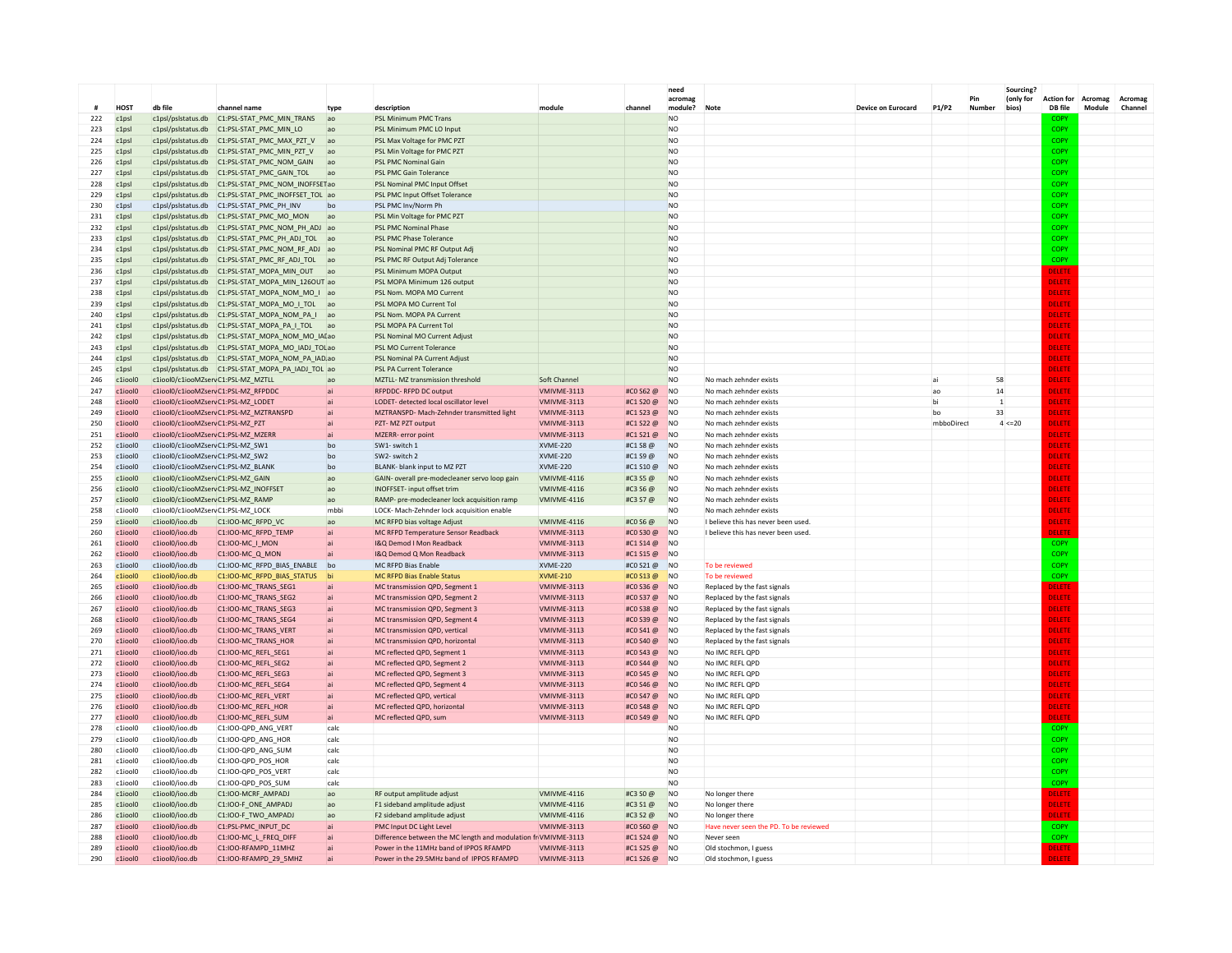|            |                                      |                                                                      |                                                                                                       |                |                                                                                            |                                    |                         | need<br>acromas                  |                                                  |                    |            | Pin          | Sourcing?<br>(only for | <b>Action for</b> | Acromag | Acromas |
|------------|--------------------------------------|----------------------------------------------------------------------|-------------------------------------------------------------------------------------------------------|----------------|--------------------------------------------------------------------------------------------|------------------------------------|-------------------------|----------------------------------|--------------------------------------------------|--------------------|------------|--------------|------------------------|-------------------|---------|---------|
|            | HO <sub>S</sub> T                    | db file                                                              | channel name                                                                                          | type           | description                                                                                | module                             | channel                 | module?                          | Note                                             | Device on Eurocard | P1/P2      | Number       | bios)                  | DB file           | Module  | Channel |
| 222        | c1 <sub>DS</sub>                     | c1psl/pslstatus.db                                                   | C1:PSL-STAT PMC MIN TRANS                                                                             | ao             | PSL Minimum PMC Trans                                                                      |                                    |                         | N <sub>O</sub>                   |                                                  |                    |            |              |                        |                   |         |         |
| 223        | c1 <sub>DS</sub>                     | c1psl/pslstatus.db                                                   | C1:PSL-STAT_PMC_MIN_LO                                                                                | ad             | PSL Minimum PMC LO Input                                                                   |                                    |                         | <b>NO</b>                        |                                                  |                    |            |              |                        | COPY              |         |         |
| 224        | c1 <sub>DS</sub>                     | c1psl/pslstatus.db                                                   | C1:PSL-STAT_PMC_MAX_PZT_V                                                                             | lad            | PSL Max Voltage for PMC PZT                                                                |                                    |                         | <b>NO</b>                        |                                                  |                    |            |              |                        | COPY              |         |         |
| 225        | c1psl                                |                                                                      | c1psl/pslstatus.db   C1:PSL-STAT_PMC_MIN_PZT_V                                                        | a <sub>o</sub> | PSL Min Voltage for PMC PZT                                                                |                                    |                         | N <sub>O</sub>                   |                                                  |                    |            |              |                        | COPY              |         |         |
| 226<br>227 | c1ns<br>c1ns                         | c1psl/pslstatus.db<br>c1psl/pslstatus.db                             | C1:PSL-STAT_PMC_NOM_GAIN<br>C1:PSL-STAT PMC GAIN TOL                                                  | ac<br>ac       | PSL PMC Nominal Gain<br>PSL PMC Gain Tolerance                                             |                                    |                         | N <sub>O</sub><br>N <sub>O</sub> |                                                  |                    |            |              |                        | COPY<br>COPY      |         |         |
| 228        | c1psl                                | c1psl/pslstatus.db                                                   | C1:PSL-STAT_PMC_NOM_INOFFSETao                                                                        |                | PSL Nominal PMC Input Offset                                                               |                                    |                         | N <sub>O</sub>                   |                                                  |                    |            |              |                        | COPY              |         |         |
| 229        | c1 <sub>DS</sub>                     | c1psl/pslstatus.db                                                   | C1:PSL-STAT PMC INOFFSET TOL ao                                                                       |                | PSL PMC Input Offset Tolerance                                                             |                                    |                         | <b>NO</b>                        |                                                  |                    |            |              |                        | COPY              |         |         |
| 230        | c1 <sub>DS</sub>                     | c1psl/pslstatus.db                                                   | C1:PSL-STAT PMC PH INV                                                                                | bc             | PSL PMC Inv/Norm Ph                                                                        |                                    |                         | <b>NO</b>                        |                                                  |                    |            |              |                        | COPY              |         |         |
| 231        | c1 <sub>DS</sub>                     | c1psl/pslstatus.db                                                   | C1:PSL-STAT PMC MO MON                                                                                | ao             | PSL Min Voltage for PMC PZT                                                                |                                    |                         | <b>NO</b>                        |                                                  |                    |            |              |                        | COPY              |         |         |
| 232        | c1 <sub>DS</sub>                     | c1psl/pslstatus.db                                                   | C1:PSL-STAT PMC NOM PH ADJ ao                                                                         |                | PSL PMC Nominal Phase                                                                      |                                    |                         | N <sub>O</sub>                   |                                                  |                    |            |              |                        | COPY              |         |         |
| 233        | c1 <sub>DS</sub>                     | c1psl/pslstatus.db                                                   | C1:PSL-STAT_PMC_PH_ADJ_TOL                                                                            | ad             | PSL PMC Phase Tolerance                                                                    |                                    |                         | N <sub>O</sub>                   |                                                  |                    |            |              |                        | COPY              |         |         |
| 234        | c1psl                                | c1psl/pslstatus.db                                                   | C1:PSL-STAT_PMC_NOM_RF_ADJ                                                                            |                | PSL Nominal PMC RF Output Adj                                                              |                                    |                         | <b>NO</b>                        |                                                  |                    |            |              |                        | COPY              |         |         |
| 235        | c1 <sub>DS</sub>                     | c1psl/pslstatus.db                                                   | C1:PSL-STAT PMC RF ADJ TOL                                                                            | lad            | PSL PMC RF Output Adi Tolerance                                                            |                                    |                         | <b>NO</b>                        |                                                  |                    |            |              |                        | COPY              |         |         |
| 236        | c1psl                                |                                                                      | c1psl/pslstatus.db C1:PSL-STAT_MOPA_MIN_OUT                                                           | lad            | PSL Minimum MOPA Outpu                                                                     |                                    |                         | <b>NO</b>                        |                                                  |                    |            |              |                        | DELETE            |         |         |
| 237        | c1 <sub>DS</sub>                     |                                                                      | c1psl/pslstatus.db  C1:PSL-STAT MOPA MIN 126OUT ao                                                    |                | PSL MOPA Minimum 126 output                                                                |                                    |                         | <b>NO</b>                        |                                                  |                    |            |              |                        | DELETE            |         |         |
| 238<br>239 | c1 <sub>DS</sub><br>c1 <sub>DS</sub> |                                                                      | c1psl/pslstatus.db  C1:PSL-STAT MOPA NOM MO I ao                                                      |                | PSL Nom. MOPA MO Current<br>PSL MOPA MO Current Tol                                        |                                    |                         | N <sub>O</sub><br>N <sub>O</sub> |                                                  |                    |            |              |                        | DELETE<br>DELETE  |         |         |
| 240        | c1psl                                |                                                                      | c1psl/pslstatus.db   C1:PSL-STAT_MOPA_MO_I_TOL   ao<br>c1psl/pslstatus.db   C1:PSL-STAT_MOPA_NOM_PA_I | lag            | PSL Nom. MOPA PA Current                                                                   |                                    |                         | <b>NO</b>                        |                                                  |                    |            |              |                        | DELETE            |         |         |
| 241        | c1psl                                |                                                                      | c1psl/pslstatus.db    C1:PSL-STAT_MOPA_PA_I_TOL                                                       | ad             | PSL MOPA PA Current To                                                                     |                                    |                         | <b>NO</b>                        |                                                  |                    |            |              |                        | DELETI            |         |         |
| 242        | c1psl                                |                                                                      | c1psl/pslstatus.db   C1:PSL-STAT_MOPA_NOM_MO_IALao                                                    |                | PSL Nominal MO Current Adiust                                                              |                                    |                         | <b>NO</b>                        |                                                  |                    |            |              |                        | DELETE            |         |         |
| 243        | c1 <sub>DS</sub>                     |                                                                      | c1psl/pslstatus.db  C1:PSL-STAT MOPA MO IADJ TOLao                                                    |                | PSL MO Current Tolerance                                                                   |                                    |                         | <b>NO</b>                        |                                                  |                    |            |              |                        | DELETE            |         |         |
| 244        | c1 <sub>ps</sub>                     |                                                                      | c1psl/pslstatus.db   C1:PSL-STAT_MOPA_NOM_PA_IAD.ao                                                   |                | PSL Nominal PA Current Adjust                                                              |                                    |                         | N <sub>O</sub>                   |                                                  |                    |            |              |                        | <b>DELETE</b>     |         |         |
| 245        | c1 <sub>ps</sub>                     |                                                                      | c1psl/pslstatus.db   C1:PSL-STAT_MOPA_PA_IADJ_TOL ao                                                  |                | PSL PA Current Tolerance                                                                   |                                    |                         | N <sub>O</sub>                   |                                                  |                    |            |              |                        | <b>DELETE</b>     |         |         |
| 246        | c1iool0                              | c1iool0/c1iooMZservC1:PSL-MZ_MZTLL                                   |                                                                                                       |                | MZTLL- MZ transmission threshold                                                           | Soft Channel                       |                         | <b>NO</b>                        | No mach zehnder exists                           |                    | ai         | 58           |                        | DELETE            |         |         |
| 247        | c1iool0                              |                                                                      | c1iool0/c1iooMZservC1:PSL-MZ_RFPDDC                                                                   | lai            | <b>RFPDDC-RFPD DC output</b>                                                               | VMIVME-3113                        | #CO S62 @               | <b>NO</b>                        | No mach zehnder exists                           |                    | ao         | 14           |                        | DELETE            |         |         |
| 248        | c1iool0                              | c1iool0/c1iooMZservC1:PSL-MZ_LODET                                   |                                                                                                       |                | LODET- detected local oscillator level                                                     | VMIVME-3113                        | #C1 S20 @               | <b>NO</b>                        | No mach zehnder exists                           |                    | bi         | $\mathbf{1}$ |                        | DELETE            |         |         |
| 249        | c1iool0                              |                                                                      | c1iool0/c1iooMZservC1:PSL-MZ MZTRANSPD                                                                |                | MZTRANSPD- Mach-Zehnder transmitted light                                                  | VMIVME-3113                        | #C1 S23 @               | N <sub>O</sub>                   | No mach zehnder exists                           |                    | bo         | 33           |                        | DELETE            |         |         |
| 250        | c1iool0                              | c1iool0/c1iooMZservC1:PSL-MZ PZT                                     |                                                                                                       |                | PZT-MZ PZT output                                                                          | VMIVME-3113                        | #C1 S22 @               | <b>NO</b>                        | No mach zehnder exists                           |                    | mbboDirect |              | 4 < 20                 | DELETE            |         |         |
| 251        | c1iool0                              | c1iool0/c1iooMZservC1:PSL-MZ_MZERF                                   |                                                                                                       | ai             | MZERR- error point                                                                         | VMIVME-3113                        | #C1 S21 @               | N <sub>O</sub><br><b>NO</b>      | No mach zehnder exists                           |                    |            |              |                        | DELETE            |         |         |
| 252<br>253 | c1iool0<br>c1iool0                   | c1iool0/c1iooMZservC1:PSL-MZ_SW1<br>c1iool0/c1iooMZservC1:PSL-MZ_SW2 |                                                                                                       | bo<br>bo       | SW1- switch 1<br>SW2- switch 2                                                             | <b>XVME-220</b><br><b>XVME-220</b> | #C1 S8 @<br>#C1 S9 @    | N <sub>O</sub>                   | No mach zehnder exists<br>No mach zehnder exists |                    |            |              |                        | DELETE<br>DELETE  |         |         |
| 254        | c1iool0                              | c1iool0/c1iooMZservC1:PSL-MZ_BLANK                                   |                                                                                                       | bo             | BLANK- blank input to MZ PZT                                                               | <b>XVME-220</b>                    | #C1 S10 @               | N <sub>O</sub>                   | No mach zehnder exists                           |                    |            |              |                        | DELETE            |         |         |
| 255        | c1iool0                              | c1iool0/c1iooMZservC1:PSL-MZ GAIN                                    |                                                                                                       | ao             | GAIN- overall pre-modecleaner servo loop gain                                              | <b>VMIVME-4116</b>                 | #C3 S5 @                | <b>NO</b>                        | No mach zehnder exists                           |                    |            |              |                        | DELETI            |         |         |
| 256        | $c1$ iool                            |                                                                      | c1iool0/c1iooM7servC1:PSI-M7_INOFESET                                                                 | $\overline{a}$ | <b>INOFFSET-</b> input offset trim                                                         | VMIVMF-4116                        | #C3 S6 @                | N <sub>O</sub>                   | No mach zehnder exists                           |                    |            |              |                        | <b>DELETI</b>     |         |         |
| 257        | c1iool0                              | c1iool0/c1iooMZservC1:PSL-MZ RAMP                                    |                                                                                                       | ao             | RAMP- pre-modecleaner lock acquisition ramp                                                | VMIVMF-4116                        | #C3 S7 @                | N <sub>O</sub>                   | No mach zehnder exists                           |                    |            |              |                        | <b>DELETI</b>     |         |         |
| 258        | c1iool0                              | c1iool0/c1iooMZservC1:PSL-MZ_LOCK                                    |                                                                                                       | mhh            | LOCK- Mach-Zehnder lock acquisition enable                                                 |                                    |                         | N <sub>O</sub>                   | No mach zehnder exists                           |                    |            |              |                        | DELETI            |         |         |
| 259        | c1iool0                              | c1iool0/ioo.db                                                       | C1:IOO-MC RFPD VC                                                                                     | ao             | MC RFPD bias voltage Adjust                                                                | <b>VMIVME-4116</b>                 | #CO S6 @                | <b>NO</b>                        | I believe this has never been used               |                    |            |              |                        | DELETE            |         |         |
| 260        | c1iool0                              | c1iool0/ioo.db                                                       | C1:IOO-MC_RFPD_TEMP                                                                                   | <b>ai</b>      | MC RFPD Temperature Sensor Readback                                                        | <b>VMIVMF-3113</b>                 | #CO S30 @               | N <sub>O</sub>                   | I believe this has never been used.              |                    |            |              |                        | ELETI             |         |         |
| 261        | $c1$ ioolo                           | c1iool0/ioo.db                                                       | C1:100-MC_I_MON                                                                                       | <b>lai</b>     | I&O Demod J Mon Readback                                                                   | VMIVMF-3113                        | #C1 S14 @               | <b>NO</b>                        |                                                  |                    |            |              |                        | <b>COPY</b>       |         |         |
| 262        | $c1$ ioolo                           | c1ionl0/ion.dh                                                       | C1:100-MC Q MON                                                                                       |                | I&O Demod O Mon Readback                                                                   | VMIVMF-3113                        | #C1 S15 @               | N <sub>O</sub>                   |                                                  |                    |            |              |                        | COPY              |         |         |
| 263        | c1iool0                              | c1iool0/ioo.db                                                       | C1:IOO-MC_RFPD_BIAS_ENABLE                                                                            | bo<br>hi       | <b>MC RFPD Bias Enable</b>                                                                 | <b>XVME-220</b>                    | #CO S21 @               | N <sub>O</sub>                   | To be reviewed                                   |                    |            |              |                        | COPY              |         |         |
| 264<br>265 | c1iool0<br>c1iool0                   | c1iool0/ioo.db<br>c1iool0/ioo.db                                     | C1:IOO-MC_RFPD_BIAS_STATUS<br>C1:IOO-MC_TRANS_SEG1                                                    |                | <b>MC RFPD Bias Enable Status</b><br>MC transmission QPD, Segment 1                        | <b>XVME-210</b><br>VMIVME-3113     | #CO S13 @<br>#CO \$36 @ | <b>NO</b><br><b>NO</b>           | To be reviewed<br>Replaced by the fast signals   |                    |            |              |                        | COPY<br>DELETE    |         |         |
| 266        | c1iool0                              | c1iool0/ioo.db                                                       | C1:IOO-MC TRANS SEG2                                                                                  | lai            | MC transmission QPD, Segment 2                                                             | VMIVME-3113                        | #CO S37 @               | N <sub>O</sub>                   | Replaced by the fast signals                     |                    |            |              |                        | DELETE            |         |         |
| 267        | $c1$ ioolo                           | c1ionl0/ion.dh                                                       | C1:IOO-MC TRANS SEG3                                                                                  | lai            | MC transmission QPD, Segment 3                                                             | VMIVMF-3113                        | #C0.538 $@$             | N <sub>O</sub>                   | Replaced by the fast signals                     |                    |            |              |                        | <b>DELETE</b>     |         |         |
| 268        | $c1$ ioolO                           | c1iool0/ioo.db                                                       | C1:IOO-MC_TRANS_SEG4                                                                                  |                | MC transmission QPD, Segment 4                                                             | VMIVMF-3113                        | #CO S39 @               | N <sub>O</sub>                   | Replaced by the fast signals                     |                    |            |              |                        | <b>DELETE</b>     |         |         |
| 269        | c1iool0                              | c1iool0/ioo.db                                                       | C1:IOO-MC_TRANS_VERT                                                                                  |                | MC transmission OPD, vertical                                                              | <b>VMIVMF-3113</b>                 | #CO S41 @               | N <sub>O</sub>                   | Replaced by the fast signals                     |                    |            |              |                        | DELETE            |         |         |
| 270        | c1iool0                              | c1iool0/ioo.db                                                       | C1:IOO-MC TRANS HOR                                                                                   |                | MC transmission QPD, horizontal                                                            | VMIVME-3113                        | #CO \$40 @              | <b>NO</b>                        | Replaced by the fast signals                     |                    |            |              |                        | DELETI            |         |         |
| 271        | c1iool0                              | c1iool0/ioo.db                                                       | C1:IOO-MC_REFL_SEG1                                                                                   |                | MC reflected QPD, Segment 1                                                                | VMIVME-3113                        | #CO \$43 @              | <b>NO</b>                        | No IMC REFL OPD                                  |                    |            |              |                        | DELETE            |         |         |
| 272        | c1iool0                              | c1iool0/ioo.db                                                       | C1:100-MC REFL SEG2                                                                                   |                | MC reflected QPD, Segment 2                                                                | VMIVME-3113                        | #CO S44 @               | N <sub>O</sub>                   | No IMC REFL QPD                                  |                    |            |              |                        | DELETE            |         |         |
| 273        | $c1$ ioolO                           | c1iool0/ioo.db                                                       | C1:IOO-MC REFL SEG3                                                                                   |                | MC reflected QPD, Segment 3                                                                | VMIVMF-3113                        | #CO \$45 @              | N <sub>O</sub>                   | No IMC REFL OPD                                  |                    |            |              |                        | <b>DELETE</b>     |         |         |
| 274        | $c1$ ioolO                           | c1iool0/ioo.db                                                       | C1:IOO-MC_REFL_SEG4                                                                                   |                | MC reflected QPD, Segment 4                                                                | <b>VMIVMF-3113</b>                 | #CO S46 @               | N <sub>0</sub>                   | No IMC REFL OPD                                  |                    |            |              |                        | DELETE            |         |         |
| 275        | c1iool0                              | c1iool0/ioo.db                                                       | C1:IOO-MC_REFL_VERT                                                                                   |                | MC reflected QPD, vertical                                                                 | VMIVME-3113                        | #CO S47 @               | <b>NO</b>                        | No IMC REFL QPD                                  |                    |            |              |                        | DELETE            |         |         |
| 276<br>277 | c1iool0<br>c1iool0                   | c1iool0/ioo.db<br>c1iool0/ioo.db                                     | C1:IOO-MC_REFL_HOR<br>C1:IOO-MC_REFL_SUM                                                              |                | MC reflected QPD, horizontal<br>MC reflected OPD, sum                                      | VMIVME-3113<br>VMIVME-3113         | #CO S48 @<br>#CO S49 @  | <b>NO</b><br><b>NO</b>           | No IMC REFL OPD<br>No IMC REFL OPD               |                    |            |              |                        | DELETE<br>DELETE  |         |         |
| 278        | c1iool0                              | c1iool0/ioo.db                                                       | C1:IOO-OPD ANG VERT                                                                                   | calc           |                                                                                            |                                    |                         | <b>NO</b>                        |                                                  |                    |            |              |                        | COPY              |         |         |
| 279        | c1iool0                              | c1iool0/ioo.db                                                       | C1:IOO-QPD_ANG_HOR                                                                                    | calc           |                                                                                            |                                    |                         | N <sub>O</sub>                   |                                                  |                    |            |              |                        | COPY              |         |         |
| 280        | c1iool0                              | c1iool0/ioo.db                                                       | C1:IOO-QPD ANG SUM                                                                                    | calc           |                                                                                            |                                    |                         | N <sub>O</sub>                   |                                                  |                    |            |              |                        | COPY              |         |         |
| 281        | c1iool0                              | c1iool0/ioo.db                                                       | C1:IOO-QPD_POS_HOR                                                                                    | calc           |                                                                                            |                                    |                         | <b>NO</b>                        |                                                  |                    |            |              |                        | COPY              |         |         |
| 282        | c1iool0                              | c1iool0/ioo.db                                                       | C1:IOO-OPD POS VERT                                                                                   | calc           |                                                                                            |                                    |                         | <b>NO</b>                        |                                                  |                    |            |              |                        | COPY              |         |         |
| 283        | c1iool0                              | c1iool0/ioo.db                                                       | C1:IOO-QPD_POS_SUM                                                                                    | cald           |                                                                                            |                                    |                         | N <sub>O</sub>                   |                                                  |                    |            |              |                        | COPY              |         |         |
| 284        | c1iool0                              | c1iool0/ioo.db                                                       | C1:IOO-MCRF AMPADJ                                                                                    | ao             | RF output amplitude adjust                                                                 | <b>VMIVME-4116</b>                 | #C3 S0 @                | <b>NO</b>                        | No longer there                                  |                    |            |              |                        | DELETI            |         |         |
| 285        | $c1$ ioolo                           | c1iool0/ioo.db                                                       | C1:IOO-F ONE AMPAD.                                                                                   | ao             | F1 sideband amplitude adjust                                                               | VMIVMF-4116                        | #C3 S1 @                | N <sub>O</sub>                   | No longer there                                  |                    |            |              |                        | DELETE            |         |         |
| 286        | c1iool0                              | c1iool0/ioo.db                                                       | C1:IOO-F_TWO_AMPADJ                                                                                   | ao             | F2 sideband amplitude adjust                                                               | VMIVME-4116                        | #C3 S2 @                | N <sub>O</sub>                   | No longer there                                  |                    |            |              |                        | DELETE            |         |         |
| 287        | c1iool0                              | c1iool0/ioo.db                                                       | C1:PSL-PMC_INPUT_DC                                                                                   |                | PMC Input DC Light Level                                                                   | VMIVME-3113                        | #CO S60 @               | <b>NO</b>                        | Have never seen the PD. To be reviewed           |                    |            |              |                        | <b>COPY</b>       |         |         |
| 288<br>289 | c1iool0<br>c1iool0                   | c1iool0/ioo.db<br>c1iool0/ioo.db                                     | C1:IOO-MC_L_FREQ_DIFF<br>C1:IOO-RFAMPD_11MHZ                                                          |                | Difference between the MC length and modulation<br>Power in the 11MHz band of IPPOS RFAMPD | r VMIVME-3113<br>VMIVME-3113       | #C1 S24 @<br>#C1 S25 @  | <b>NO</b><br><b>NO</b>           | Never seen<br>Old stochmon, I guess              |                    |            |              |                        | COPY<br>DELETI    |         |         |
| 290        | c1iool0                              | c1iool0/ioo.db                                                       | C1:IOO-RFAMPD_29_5MHZ                                                                                 |                | Power in the 29.5MHz band of IPPOS RFAMPD                                                  | VMIVME-3113                        | #C1 S26 @               | N <sub>O</sub>                   | Old stochmon. I guess                            |                    |            |              |                        | <b>FLETI</b>      |         |         |
|            |                                      |                                                                      |                                                                                                       |                |                                                                                            |                                    |                         |                                  |                                                  |                    |            |              |                        |                   |         |         |